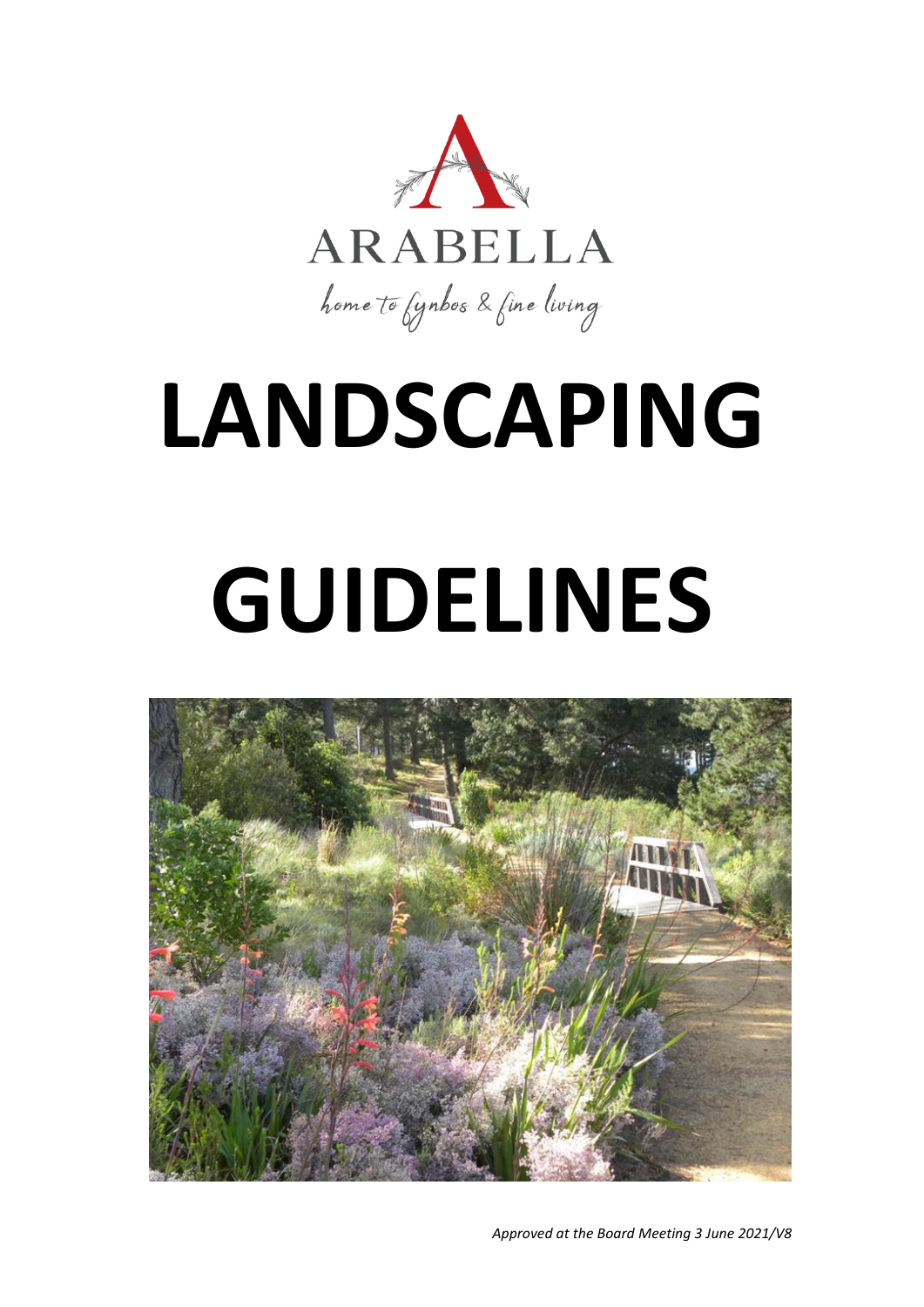

# **LANDSCAPING GUIDELINES**



*Approved at the Board Meeting 3 June 2021/V8*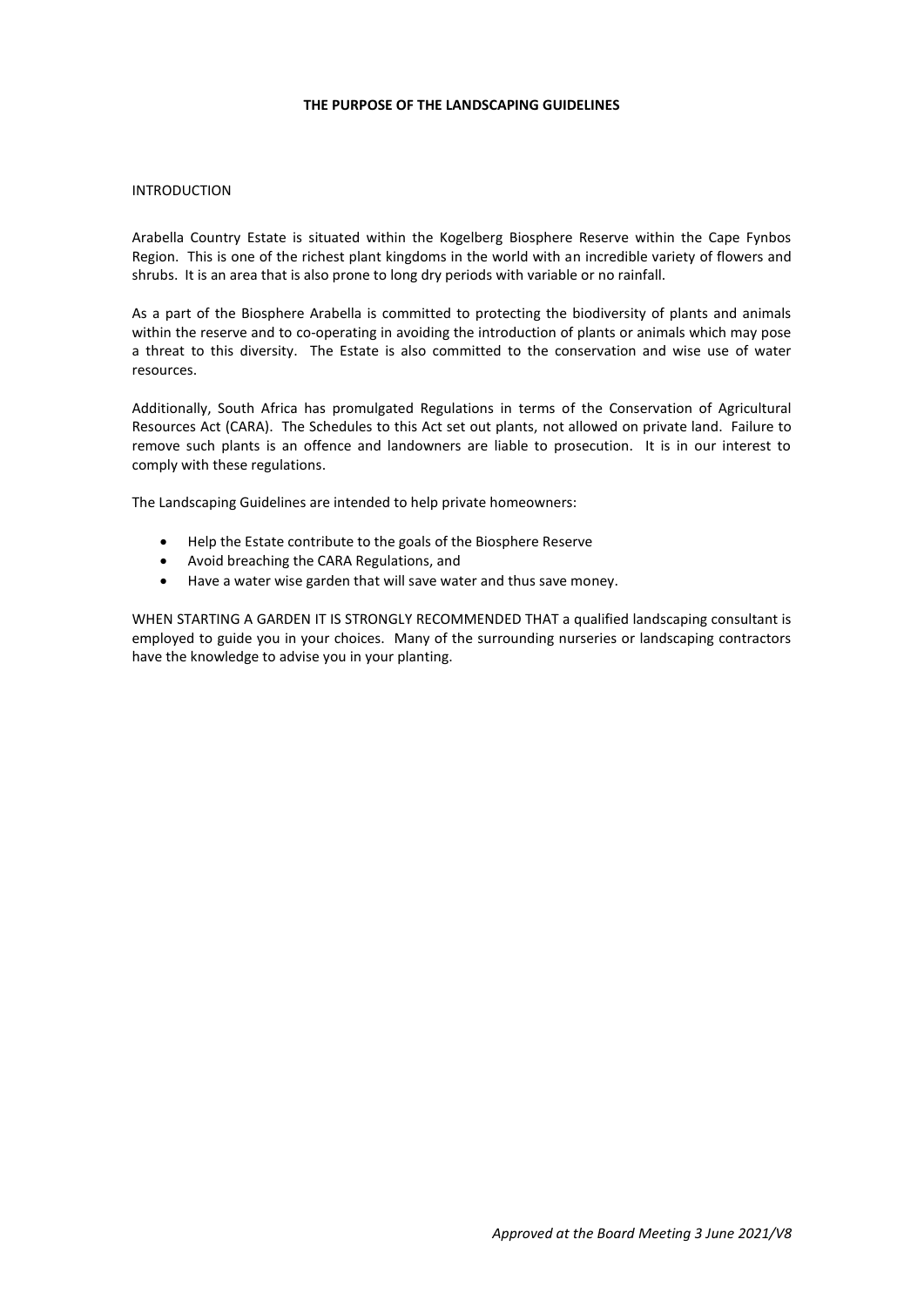#### **THE PURPOSE OF THE LANDSCAPING GUIDELINES**

#### INTRODUCTION

Arabella Country Estate is situated within the Kogelberg Biosphere Reserve within the Cape Fynbos Region. This is one of the richest plant kingdoms in the world with an incredible variety of flowers and shrubs. It is an area that is also prone to long dry periods with variable or no rainfall.

As a part of the Biosphere Arabella is committed to protecting the biodiversity of plants and animals within the reserve and to co-operating in avoiding the introduction of plants or animals which may pose a threat to this diversity. The Estate is also committed to the conservation and wise use of water resources.

Additionally, South Africa has promulgated Regulations in terms of the Conservation of Agricultural Resources Act (CARA). The Schedules to this Act set out plants, not allowed on private land. Failure to remove such plants is an offence and landowners are liable to prosecution. It is in our interest to comply with these regulations.

The Landscaping Guidelines are intended to help private homeowners:

- Help the Estate contribute to the goals of the Biosphere Reserve
- Avoid breaching the CARA Regulations, and
- Have a water wise garden that will save water and thus save money.

WHEN STARTING A GARDEN IT IS STRONGLY RECOMMENDED THAT a qualified landscaping consultant is employed to guide you in your choices. Many of the surrounding nurseries or landscaping contractors have the knowledge to advise you in your planting.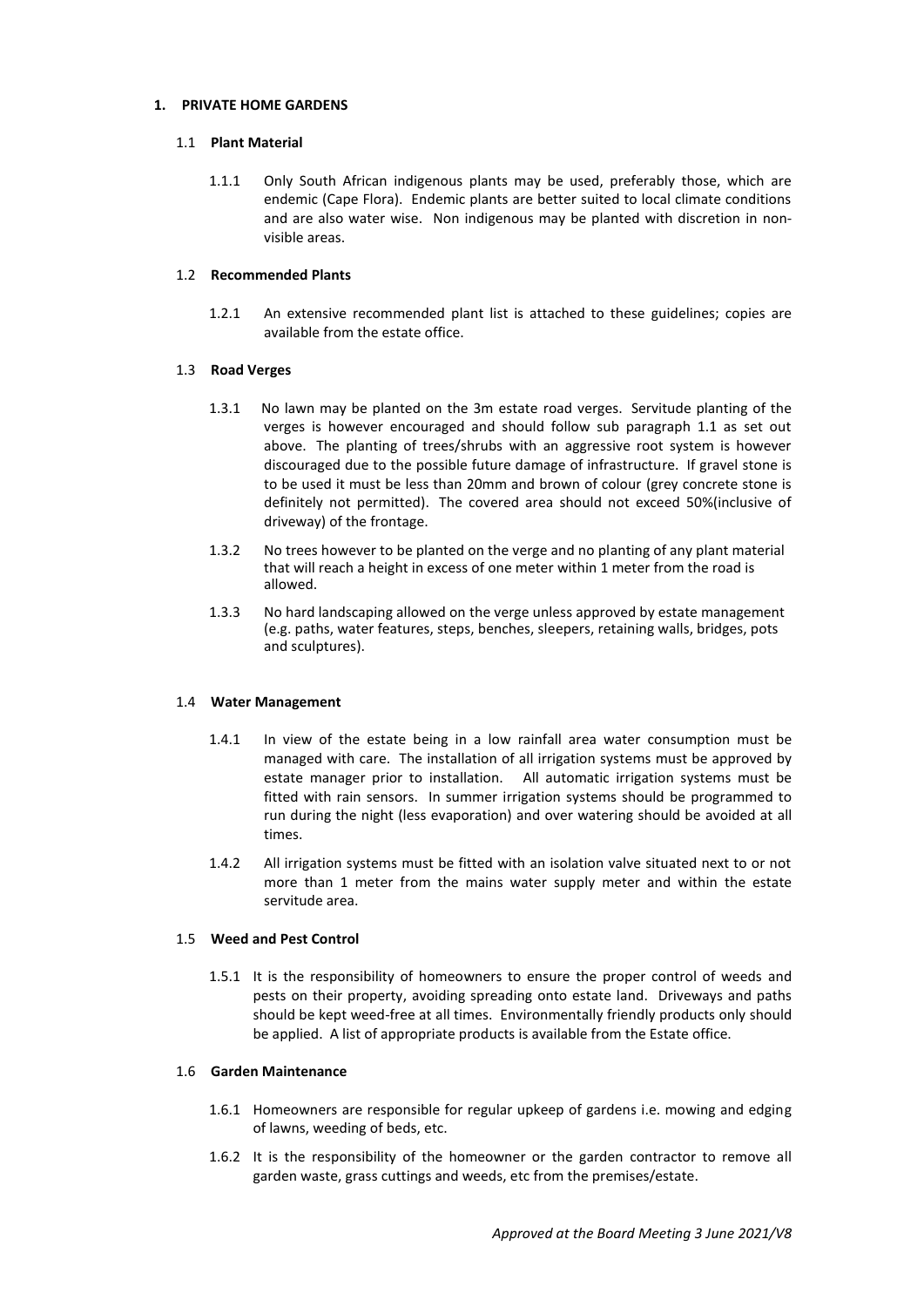#### **1. PRIVATE HOME GARDENS**

#### 1.1 **Plant Material**

1.1.1 Only South African indigenous plants may be used, preferably those, which are endemic (Cape Flora). Endemic plants are better suited to local climate conditions and are also water wise. Non indigenous may be planted with discretion in nonvisible areas.

#### 1.2 **Recommended Plants**

1.2.1 An extensive recommended plant list is attached to these guidelines; copies are available from the estate office.

#### 1.3 **Road Verges**

- 1.3.1 No lawn may be planted on the 3m estate road verges. Servitude planting of the verges is however encouraged and should follow sub paragraph 1.1 as set out above. The planting of trees/shrubs with an aggressive root system is however discouraged due to the possible future damage of infrastructure. If gravel stone is to be used it must be less than 20mm and brown of colour (grey concrete stone is definitely not permitted). The covered area should not exceed 50%(inclusive of driveway) of the frontage.
- 1.3.2 No trees however to be planted on the verge and no planting of any plant material that will reach a height in excess of one meter within 1 meter from the road is allowed.
- 1.3.3 No hard landscaping allowed on the verge unless approved by estate management (e.g. paths, water features, steps, benches, sleepers, retaining walls, bridges, pots and sculptures).

## 1.4 **Water Management**

- 1.4.1 In view of the estate being in a low rainfall area water consumption must be managed with care. The installation of all irrigation systems must be approved by estate manager prior to installation. All automatic irrigation systems must be fitted with rain sensors. In summer irrigation systems should be programmed to run during the night (less evaporation) and over watering should be avoided at all times.
- 1.4.2 All irrigation systems must be fitted with an isolation valve situated next to or not more than 1 meter from the mains water supply meter and within the estate servitude area.

#### 1.5 **Weed and Pest Control**

1.5.1 It is the responsibility of homeowners to ensure the proper control of weeds and pests on their property, avoiding spreading onto estate land. Driveways and paths should be kept weed-free at all times. Environmentally friendly products only should be applied. A list of appropriate products is available from the Estate office.

#### 1.6 **Garden Maintenance**

- 1.6.1 Homeowners are responsible for regular upkeep of gardens i.e. mowing and edging of lawns, weeding of beds, etc.
- 1.6.2 It is the responsibility of the homeowner or the garden contractor to remove all garden waste, grass cuttings and weeds, etc from the premises/estate.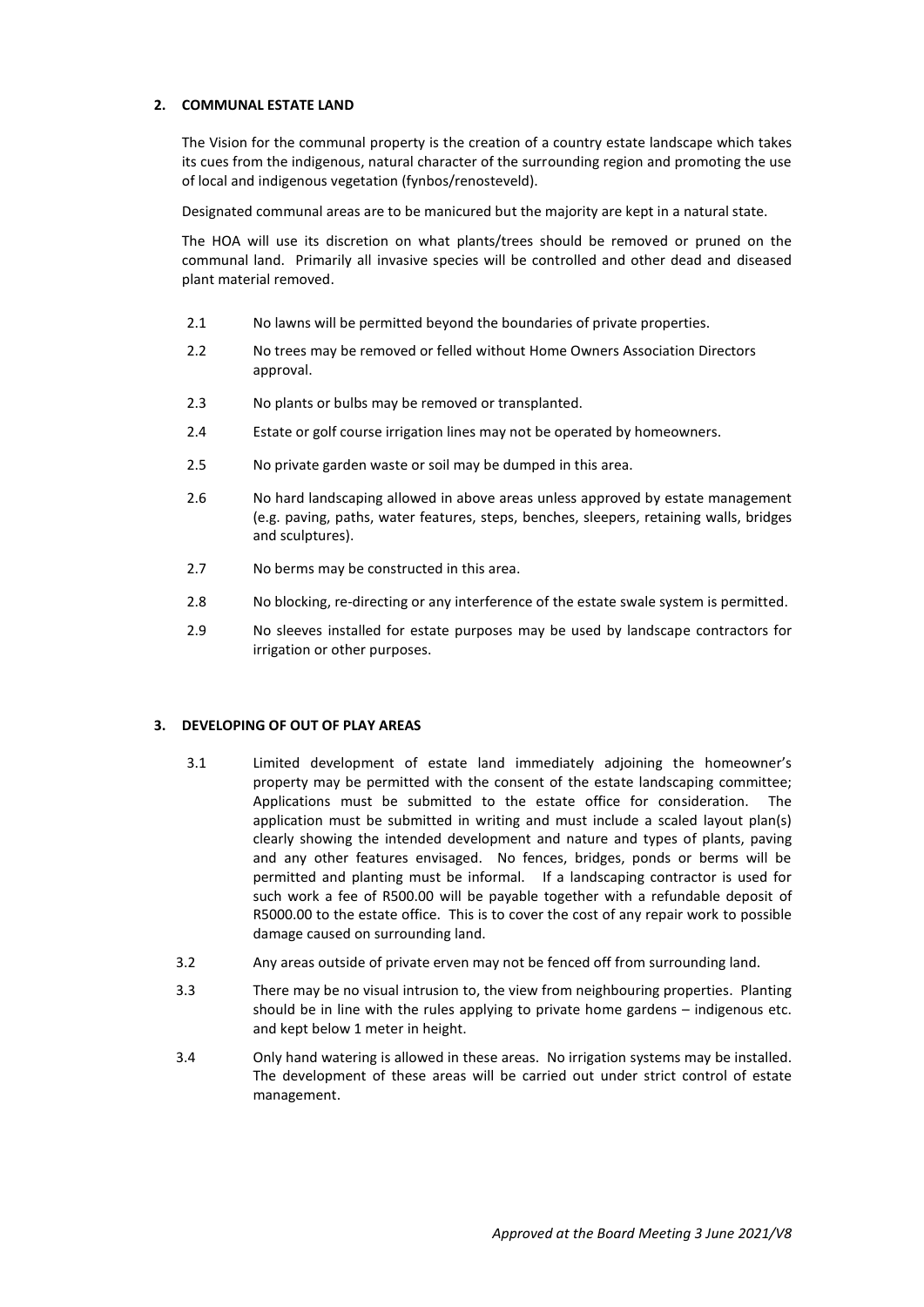## **2. COMMUNAL ESTATE LAND**

The Vision for the communal property is the creation of a country estate landscape which takes its cues from the indigenous, natural character of the surrounding region and promoting the use of local and indigenous vegetation (fynbos/renosteveld).

Designated communal areas are to be manicured but the majority are kept in a natural state.

The HOA will use its discretion on what plants/trees should be removed or pruned on the communal land. Primarily all invasive species will be controlled and other dead and diseased plant material removed.

- 2.1 No lawns will be permitted beyond the boundaries of private properties.
- 2.2 No trees may be removed or felled without Home Owners Association Directors approval.
- 2.3 No plants or bulbs may be removed or transplanted.
- 2.4 Estate or golf course irrigation lines may not be operated by homeowners.
- 2.5 No private garden waste or soil may be dumped in this area.
- 2.6 No hard landscaping allowed in above areas unless approved by estate management (e.g. paving, paths, water features, steps, benches, sleepers, retaining walls, bridges and sculptures).
- 2.7 No berms may be constructed in this area.
- 2.8 No blocking, re-directing or any interference of the estate swale system is permitted.
- 2.9 No sleeves installed for estate purposes may be used by landscape contractors for irrigation or other purposes.

#### **3. DEVELOPING OF OUT OF PLAY AREAS**

- 3.1 Limited development of estate land immediately adjoining the homeowner's property may be permitted with the consent of the estate landscaping committee; Applications must be submitted to the estate office for consideration. The application must be submitted in writing and must include a scaled layout plan(s) clearly showing the intended development and nature and types of plants, paving and any other features envisaged. No fences, bridges, ponds or berms will be permitted and planting must be informal. If a landscaping contractor is used for such work a fee of R500.00 will be payable together with a refundable deposit of R5000.00 to the estate office. This is to cover the cost of any repair work to possible damage caused on surrounding land.
- 3.2 Any areas outside of private erven may not be fenced off from surrounding land.
- 3.3 There may be no visual intrusion to, the view from neighbouring properties. Planting should be in line with the rules applying to private home gardens – indigenous etc. and kept below 1 meter in height.
- 3.4 Only hand watering is allowed in these areas. No irrigation systems may be installed. The development of these areas will be carried out under strict control of estate management.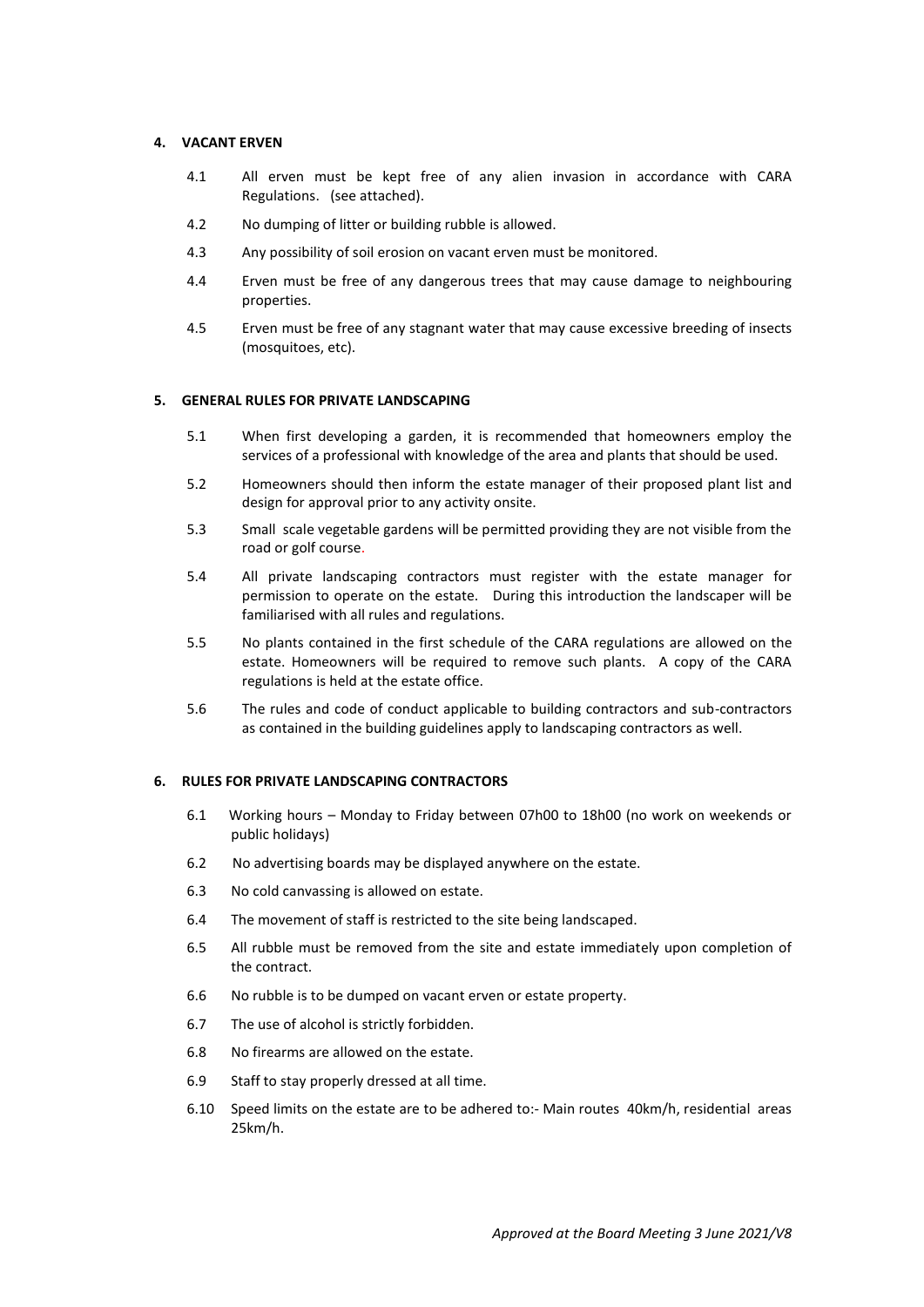#### **4. VACANT ERVEN**

- 4.1 All erven must be kept free of any alien invasion in accordance with CARA Regulations. (see attached).
- 4.2 No dumping of litter or building rubble is allowed.
- 4.3 Any possibility of soil erosion on vacant erven must be monitored.
- 4.4 Erven must be free of any dangerous trees that may cause damage to neighbouring properties.
- 4.5 Erven must be free of any stagnant water that may cause excessive breeding of insects (mosquitoes, etc).

#### **5. GENERAL RULES FOR PRIVATE LANDSCAPING**

- 5.1 When first developing a garden, it is recommended that homeowners employ the services of a professional with knowledge of the area and plants that should be used.
- 5.2 Homeowners should then inform the estate manager of their proposed plant list and design for approval prior to any activity onsite.
- 5.3 Small scale vegetable gardens will be permitted providing they are not visible from the road or golf course.
- 5.4 All private landscaping contractors must register with the estate manager for permission to operate on the estate. During this introduction the landscaper will be familiarised with all rules and regulations.
- 5.5 No plants contained in the first schedule of the CARA regulations are allowed on the estate. Homeowners will be required to remove such plants. A copy of the CARA regulations is held at the estate office.
- 5.6 The rules and code of conduct applicable to building contractors and sub-contractors as contained in the building guidelines apply to landscaping contractors as well.

#### **6. RULES FOR PRIVATE LANDSCAPING CONTRACTORS**

- 6.1 Working hours Monday to Friday between 07h00 to 18h00 (no work on weekends or public holidays)
- 6.2 No advertising boards may be displayed anywhere on the estate.
- 6.3 No cold canvassing is allowed on estate.
- 6.4 The movement of staff is restricted to the site being landscaped.
- 6.5 All rubble must be removed from the site and estate immediately upon completion of the contract.
- 6.6 No rubble is to be dumped on vacant erven or estate property.
- 6.7 The use of alcohol is strictly forbidden.
- 6.8 No firearms are allowed on the estate.
- 6.9 Staff to stay properly dressed at all time.
- 6.10 Speed limits on the estate are to be adhered to:- Main routes 40km/h, residential areas 25km/h.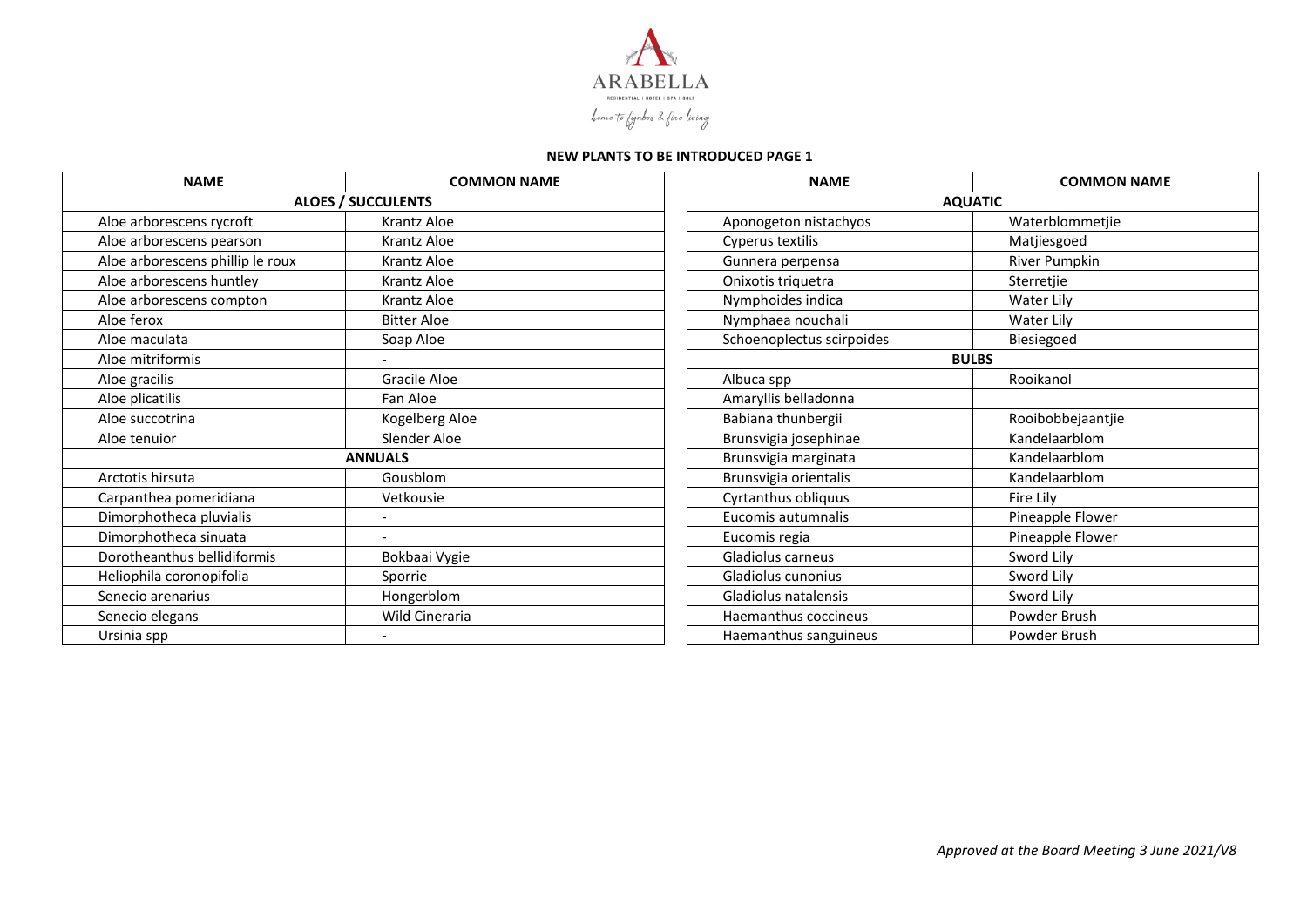

## **NEW PLANTS TO BE INTRODUCED PAGE 1**

| <b>NAME</b>                      | <b>COMMON NAME</b>        | <b>NAME</b>               | <b>COMMON NAME</b> |  |
|----------------------------------|---------------------------|---------------------------|--------------------|--|
|                                  | <b>ALOES / SUCCULENTS</b> | <b>AQUATIC</b>            |                    |  |
| Aloe arborescens rycroft         | <b>Krantz Aloe</b>        | Aponogeton nistachyos     | Waterblommetjie    |  |
| Aloe arborescens pearson         | <b>Krantz Aloe</b>        | Cyperus textilis          | Matjiesgoed        |  |
| Aloe arborescens phillip le roux | <b>Krantz Aloe</b>        | Gunnera perpensa          | River Pumpkin      |  |
| Aloe arborescens huntley         | <b>Krantz Aloe</b>        | Onixotis triquetra        | Sterretjie         |  |
| Aloe arborescens compton         | Krantz Aloe               | Nymphoides indica         | Water Lily         |  |
| Aloe ferox                       | <b>Bitter Aloe</b>        | Nymphaea nouchali         | Water Lily         |  |
| Aloe maculata                    | Soap Aloe                 | Schoenoplectus scirpoides | Biesiegoed         |  |
| Aloe mitriformis                 |                           |                           | <b>BULBS</b>       |  |
| Aloe gracilis                    | Gracile Aloe              | Albuca spp                | Rooikanol          |  |
| Aloe plicatilis                  | Fan Aloe                  | Amaryllis belladonna      |                    |  |
| Aloe succotrina                  | Kogelberg Aloe            | Babiana thunbergii        | Rooibobbejaantjie  |  |
| Aloe tenuior                     | Slender Aloe              | Brunsvigia josephinae     | Kandelaarblom      |  |
|                                  | <b>ANNUALS</b>            | Brunsvigia marginata      | Kandelaarblom      |  |
| Arctotis hirsuta                 | Gousblom                  | Brunsvigia orientalis     | Kandelaarblom      |  |
| Carpanthea pomeridiana           | Vetkousie                 | Cyrtanthus obliquus       | Fire Lily          |  |
| Dimorphotheca pluvialis          | $\overline{\phantom{0}}$  | Eucomis autumnalis        | Pineapple Flower   |  |
| Dimorphotheca sinuata            |                           | Eucomis regia             | Pineapple Flower   |  |
| Dorotheanthus bellidiformis      | Bokbaai Vygie             | Gladiolus carneus         | Sword Lily         |  |
| Heliophila coronopifolia         | Sporrie                   | Gladiolus cunonius        | Sword Lily         |  |
| Senecio arenarius                | Hongerblom                | Gladiolus natalensis      | Sword Lily         |  |
| Senecio elegans                  | Wild Cineraria            | Haemanthus coccineus      | Powder Brush       |  |
| Ursinia spp                      | $\overline{\phantom{a}}$  | Haemanthus sanguineus     | Powder Brush       |  |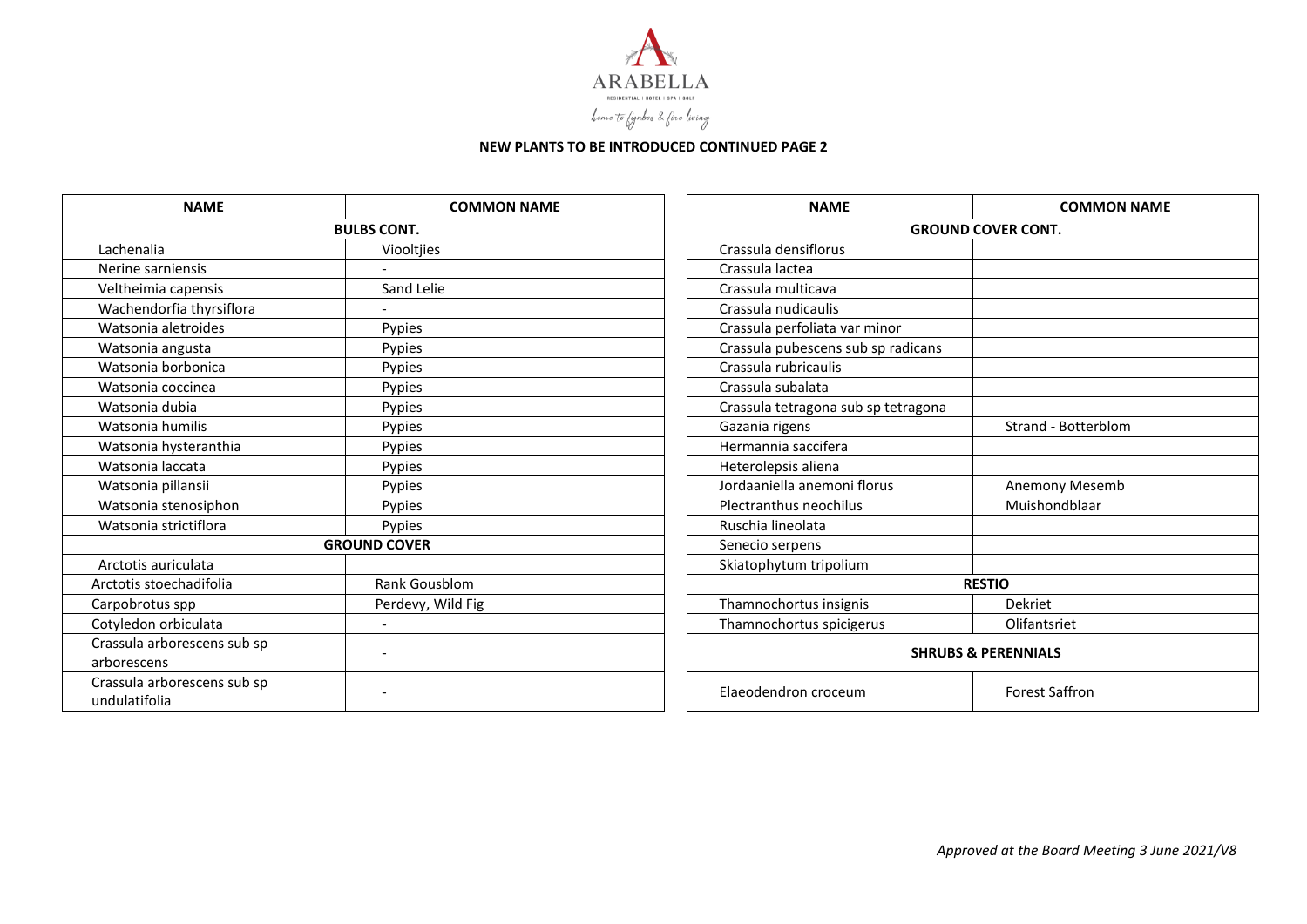

## **NEW PLANTS TO BE INTRODUCED CONTINUED PAGE 2**

| <b>NAME</b>                                  | <b>COMMON NAME</b>       |  | <b>NAME</b>                         | <b>COMMON NAME</b>        |  |
|----------------------------------------------|--------------------------|--|-------------------------------------|---------------------------|--|
| <b>BULBS CONT.</b>                           |                          |  |                                     | <b>GROUND COVER CONT.</b> |  |
| Lachenalia                                   | Viooltjies               |  | Crassula densiflorus                |                           |  |
| Nerine sarniensis                            |                          |  | Crassula lactea                     |                           |  |
| Veltheimia capensis                          | Sand Lelie               |  | Crassula multicava                  |                           |  |
| Wachendorfia thyrsiflora                     |                          |  | Crassula nudicaulis                 |                           |  |
| Watsonia aletroides                          | Pypies                   |  | Crassula perfoliata var minor       |                           |  |
| Watsonia angusta                             | Pypies                   |  | Crassula pubescens sub sp radicans  |                           |  |
| Watsonia borbonica                           | Pypies                   |  | Crassula rubricaulis                |                           |  |
| Watsonia coccinea                            | Pypies                   |  | Crassula subalata                   |                           |  |
| Watsonia dubia                               | Pypies                   |  | Crassula tetragona sub sp tetragona |                           |  |
| Watsonia humilis                             | Pypies                   |  | Gazania rigens                      | Strand - Botterblom       |  |
| Watsonia hysteranthia                        | Pypies                   |  | Hermannia saccifera                 |                           |  |
| Watsonia laccata                             | Pypies                   |  | Heterolepsis aliena                 |                           |  |
| Watsonia pillansii                           | Pypies                   |  | Jordaaniella anemoni florus         | Anemony Mesemb            |  |
| Watsonia stenosiphon                         | Pypies                   |  | Plectranthus neochilus              | Muishondblaar             |  |
| Watsonia strictiflora                        | Pypies                   |  | Ruschia lineolata                   |                           |  |
|                                              | <b>GROUND COVER</b>      |  | Senecio serpens                     |                           |  |
| Arctotis auriculata                          |                          |  | Skiatophytum tripolium              |                           |  |
| Arctotis stoechadifolia                      | Rank Gousblom            |  |                                     | <b>RESTIO</b>             |  |
| Carpobrotus spp                              | Perdevy, Wild Fig        |  | Thamnochortus insignis              | Dekriet                   |  |
| Cotyledon orbiculata                         | $\overline{\phantom{a}}$ |  | Thamnochortus spicigerus            | Olifantsriet              |  |
| Crassula arborescens sub sp<br>arborescens   |                          |  | <b>SHRUBS &amp; PERENNIALS</b>      |                           |  |
| Crassula arborescens sub sp<br>undulatifolia | $\overline{\phantom{0}}$ |  | Elaeodendron croceum                | <b>Forest Saffron</b>     |  |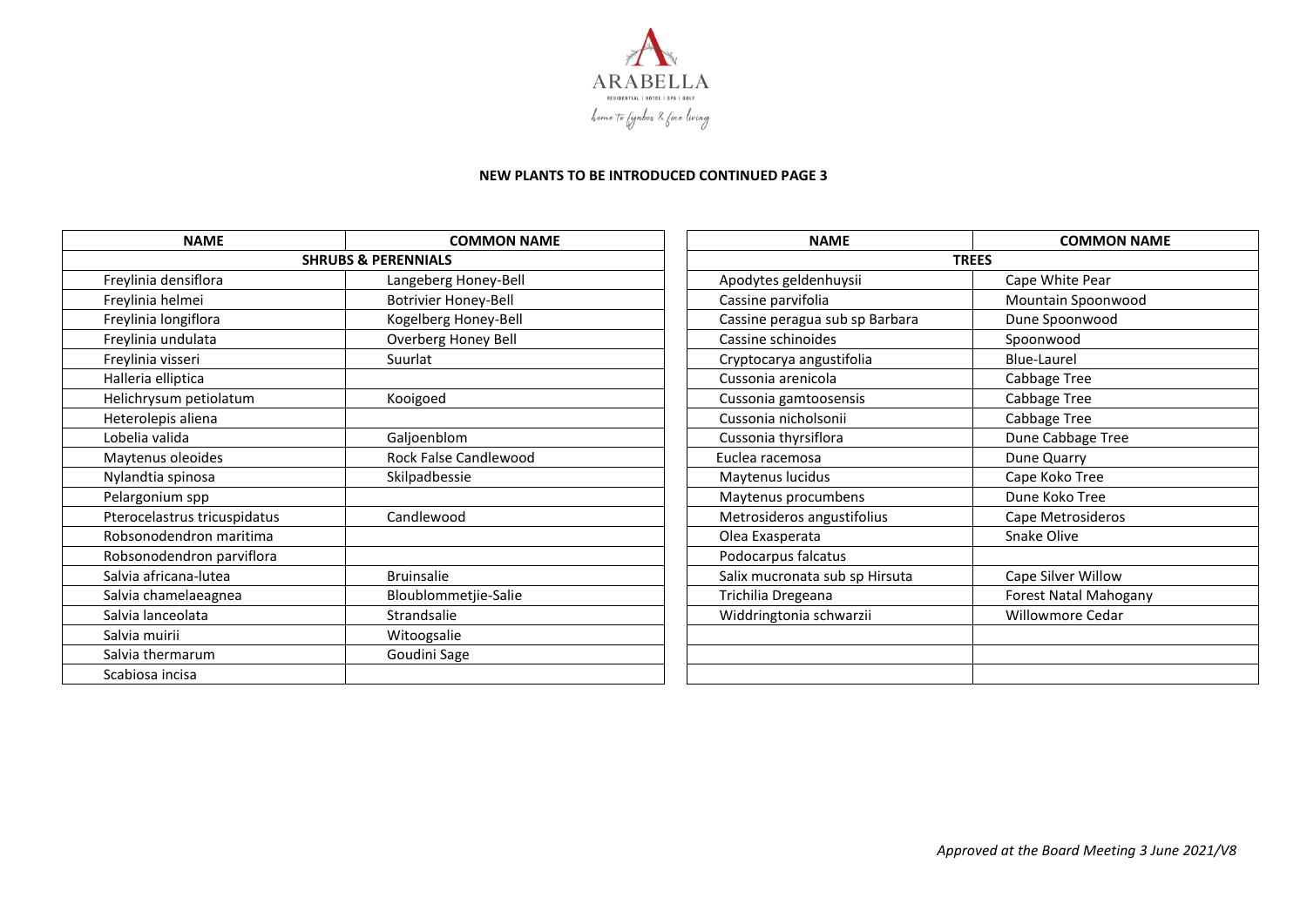

## **NEW PLANTS TO BE INTRODUCED CONTINUED PAGE 3**

| <b>NAME</b>                  | <b>COMMON NAME</b>             | <b>NAME</b>                    | <b>COMMON NAME</b>      |
|------------------------------|--------------------------------|--------------------------------|-------------------------|
|                              | <b>SHRUBS &amp; PERENNIALS</b> |                                | <b>TREES</b>            |
| Freylinia densiflora         | Langeberg Honey-Bell           | Apodytes geldenhuysii          | Cape White Pear         |
| Freylinia helmei             | <b>Botrivier Honey-Bell</b>    | Cassine parvifolia             | Mountain Spoonwood      |
| Freylinia longiflora         | Kogelberg Honey-Bell           | Cassine peragua sub sp Barbara | Dune Spoonwood          |
| Freylinia undulata           | Overberg Honey Bell            | Cassine schinoides             | Spoonwood               |
| Freylinia visseri            | Suurlat                        | Cryptocarya angustifolia       | <b>Blue-Laurel</b>      |
| Halleria elliptica           |                                | Cussonia arenicola             | Cabbage Tree            |
| Helichrysum petiolatum       | Kooigoed                       | Cussonia gamtoosensis          | Cabbage Tree            |
| Heterolepis aliena           |                                | Cussonia nicholsonii           | Cabbage Tree            |
| Lobelia valida               | Galjoenblom                    | Cussonia thyrsiflora           | Dune Cabbage Tree       |
| Maytenus oleoides            | Rock False Candlewood          | Euclea racemosa                | Dune Quarry             |
| Nylandtia spinosa            | Skilpadbessie                  | Maytenus lucidus               | Cape Koko Tree          |
| Pelargonium spp              |                                | Maytenus procumbens            | Dune Koko Tree          |
| Pterocelastrus tricuspidatus | Candlewood                     | Metrosideros angustifolius     | Cape Metrosideros       |
| Robsonodendron maritima      |                                | Olea Exasperata                | Snake Olive             |
| Robsonodendron parviflora    |                                | Podocarpus falcatus            |                         |
| Salvia africana-lutea        | <b>Bruinsalie</b>              | Salix mucronata sub sp Hirsuta | Cape Silver Willow      |
| Salvia chamelaeagnea         | Bloublommetjie-Salie           | Trichilia Dregeana             | Forest Natal Mahogany   |
| Salvia lanceolata            | Strandsalie                    | Widdringtonia schwarzii        | <b>Willowmore Cedar</b> |
| Salvia muirii                | Witoogsalie                    |                                |                         |
| Salvia thermarum             | Goudini Sage                   |                                |                         |
| Scabiosa incisa              |                                |                                |                         |

| <b>NAME</b>                    | <b>COMMON NAME</b>    |  |  |
|--------------------------------|-----------------------|--|--|
|                                | <b>TREES</b>          |  |  |
| Apodytes geldenhuysii          | Cape White Pear       |  |  |
| Cassine parvifolia             | Mountain Spoonwood    |  |  |
| Cassine peragua sub sp Barbara | Dune Spoonwood        |  |  |
| Cassine schinoides             | Spoonwood             |  |  |
| Cryptocarya angustifolia       | <b>Blue-Laurel</b>    |  |  |
| Cussonia arenicola             | Cabbage Tree          |  |  |
| Cussonia gamtoosensis          | Cabbage Tree          |  |  |
| Cussonia nicholsonii           | Cabbage Tree          |  |  |
| Cussonia thyrsiflora           | Dune Cabbage Tree     |  |  |
| Euclea racemosa                | Dune Quarry           |  |  |
| Maytenus lucidus               | Cape Koko Tree        |  |  |
| Maytenus procumbens            | Dune Koko Tree        |  |  |
| Metrosideros angustifolius     | Cape Metrosideros     |  |  |
| Olea Exasperata                | Snake Olive           |  |  |
| Podocarpus falcatus            |                       |  |  |
| Salix mucronata sub sp Hirsuta | Cape Silver Willow    |  |  |
| Trichilia Dregeana             | Forest Natal Mahogany |  |  |
| Widdringtonia schwarzii        | Willowmore Cedar      |  |  |
|                                |                       |  |  |
|                                |                       |  |  |
|                                |                       |  |  |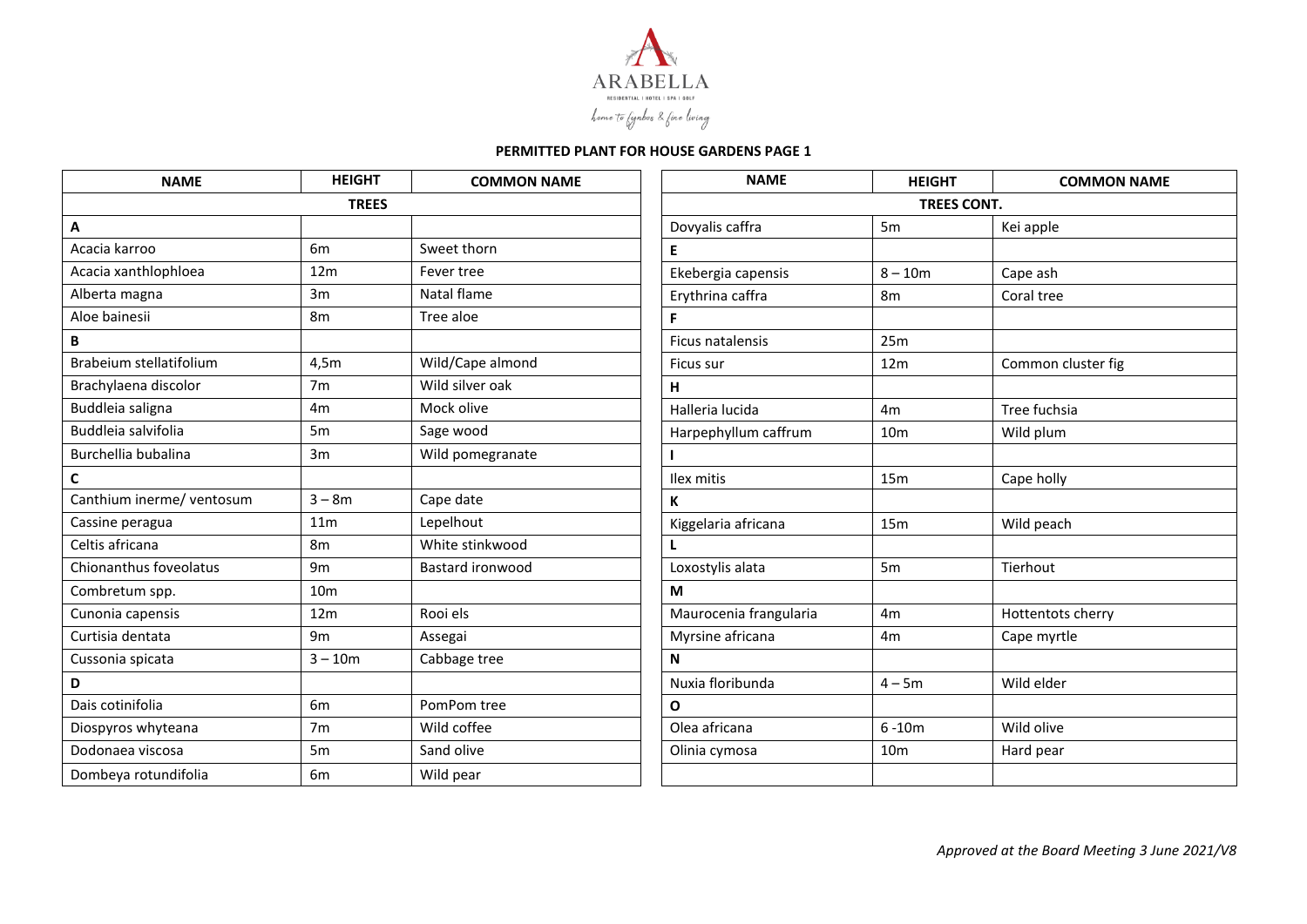

| <b>NAME</b>               | <b>HEIGHT</b>   | <b>COMMON NAME</b>      | <b>NAME</b>            | <b>HEIGHT</b>      | <b>COMMON NAME</b> |
|---------------------------|-----------------|-------------------------|------------------------|--------------------|--------------------|
|                           | <b>TREES</b>    |                         |                        | <b>TREES CONT.</b> |                    |
| Α                         |                 |                         | Dovyalis caffra        | 5 <sub>m</sub>     | Kei apple          |
| Acacia karroo             | 6 <sub>m</sub>  | Sweet thorn             | Е                      |                    |                    |
| Acacia xanthlophloea      | 12 <sub>m</sub> | Fever tree              | Ekebergia capensis     | $8 - 10m$          | Cape ash           |
| Alberta magna             | 3m              | Natal flame             | Erythrina caffra       | 8 <sub>m</sub>     | Coral tree         |
| Aloe bainesii             | 8 <sub>m</sub>  | Tree aloe               | F                      |                    |                    |
| B                         |                 |                         | Ficus natalensis       | 25m                |                    |
| Brabeium stellatifolium   | 4,5m            | Wild/Cape almond        | Ficus sur              | 12m                | Common cluster fig |
| Brachylaena discolor      | 7 <sub>m</sub>  | Wild silver oak         | н                      |                    |                    |
| Buddleia saligna          | 4 <sub>m</sub>  | Mock olive              | Halleria lucida        | 4m                 | Tree fuchsia       |
| Buddleia salvifolia       | 5 <sub>m</sub>  | Sage wood               | Harpephyllum caffrum   | 10 <sub>m</sub>    | Wild plum          |
| Burchellia bubalina       | 3m              | Wild pomegranate        |                        |                    |                    |
| C                         |                 |                         | Ilex mitis             | 15m                | Cape holly         |
| Canthium inerme/ ventosum | $3 - 8m$        | Cape date               | К                      |                    |                    |
| Cassine peragua           | 11 <sub>m</sub> | Lepelhout               | Kiggelaria africana    | 15 <sub>m</sub>    | Wild peach         |
| Celtis africana           | 8m              | White stinkwood         |                        |                    |                    |
| Chionanthus foveolatus    | 9m              | <b>Bastard ironwood</b> | Loxostylis alata       | 5m                 | Tierhout           |
| Combretum spp.            | 10 <sub>m</sub> |                         | M                      |                    |                    |
| Cunonia capensis          | 12 <sub>m</sub> | Rooi els                | Maurocenia frangularia | 4 <sub>m</sub>     | Hottentots cherry  |
| Curtisia dentata          | 9 <sub>m</sub>  | Assegai                 | Myrsine africana       | 4 <sub>m</sub>     | Cape myrtle        |
| Cussonia spicata          | $3 - 10m$       | Cabbage tree            | N                      |                    |                    |
| D                         |                 |                         | Nuxia floribunda       | $4 - 5m$           | Wild elder         |
| Dais cotinifolia          | 6 <sub>m</sub>  | PomPom tree             | $\mathbf{o}$           |                    |                    |
| Diospyros whyteana        | 7 <sub>m</sub>  | Wild coffee             | Olea africana          | $6 - 10m$          | Wild olive         |
| Dodonaea viscosa          | 5 <sub>m</sub>  | Sand olive              | Olinia cymosa          | 10 <sub>m</sub>    | Hard pear          |
| Dombeya rotundifolia      | 6m              | Wild pear               |                        |                    |                    |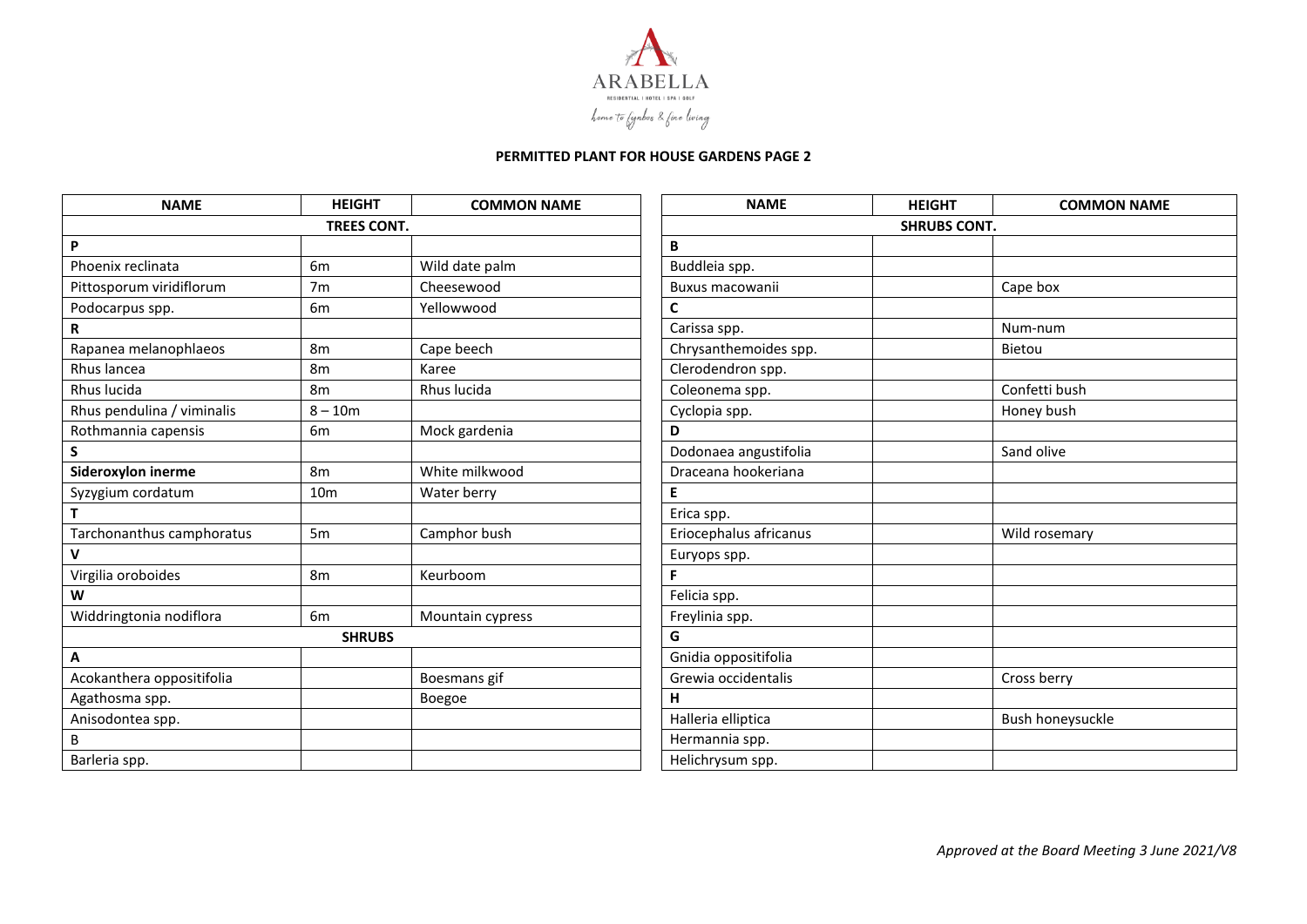

| <b>NAME</b>                | <b>HEIGHT</b>   | <b>COMMON NAME</b> | <b>NAME</b>            | <b>HEIGHT</b>       | <b>COMMON NAME</b> |  |
|----------------------------|-----------------|--------------------|------------------------|---------------------|--------------------|--|
| <b>TREES CONT.</b>         |                 |                    |                        | <b>SHRUBS CONT.</b> |                    |  |
| P                          |                 |                    | B                      |                     |                    |  |
| Phoenix reclinata          | 6 <sub>m</sub>  | Wild date palm     | Buddleia spp.          |                     |                    |  |
| Pittosporum viridiflorum   | 7m              | Cheesewood         | Buxus macowanii        |                     | Cape box           |  |
| Podocarpus spp.            | 6m              | Yellowwood         | C                      |                     |                    |  |
| R                          |                 |                    | Carissa spp.           |                     | Num-num            |  |
| Rapanea melanophlaeos      | 8 <sub>m</sub>  | Cape beech         | Chrysanthemoides spp.  |                     | Bietou             |  |
| Rhus lancea                | 8 <sub>m</sub>  | Karee              | Clerodendron spp.      |                     |                    |  |
| Rhus lucida                | 8 <sub>m</sub>  | Rhus lucida        | Coleonema spp.         |                     | Confetti bush      |  |
| Rhus pendulina / viminalis | $8 - 10m$       |                    | Cyclopia spp.          |                     | Honey bush         |  |
| Rothmannia capensis        | 6 <sub>m</sub>  | Mock gardenia      | D                      |                     |                    |  |
| S                          |                 |                    | Dodonaea angustifolia  |                     | Sand olive         |  |
| Sideroxylon inerme         | 8m              | White milkwood     | Draceana hookeriana    |                     |                    |  |
| Syzygium cordatum          | 10 <sub>m</sub> | Water berry        | E                      |                     |                    |  |
|                            |                 |                    | Erica spp.             |                     |                    |  |
| Tarchonanthus camphoratus  | 5 <sub>m</sub>  | Camphor bush       | Eriocephalus africanus |                     | Wild rosemary      |  |
| V                          |                 |                    | Euryops spp.           |                     |                    |  |
| Virgilia oroboides         | 8 <sub>m</sub>  | Keurboom           | F.                     |                     |                    |  |
| W                          |                 |                    | Felicia spp.           |                     |                    |  |
| Widdringtonia nodiflora    | 6m              | Mountain cypress   | Freylinia spp.         |                     |                    |  |
|                            | <b>SHRUBS</b>   |                    | G                      |                     |                    |  |
| А                          |                 |                    | Gnidia oppositifolia   |                     |                    |  |
| Acokanthera oppositifolia  |                 | Boesmans gif       | Grewia occidentalis    |                     | Cross berry        |  |
| Agathosma spp.             |                 | Boegoe             | H                      |                     |                    |  |
| Anisodontea spp.           |                 |                    | Halleria elliptica     |                     | Bush honeysuckle   |  |
| B                          |                 |                    | Hermannia spp.         |                     |                    |  |
| Barleria spp.              |                 |                    | Helichrysum spp.       |                     |                    |  |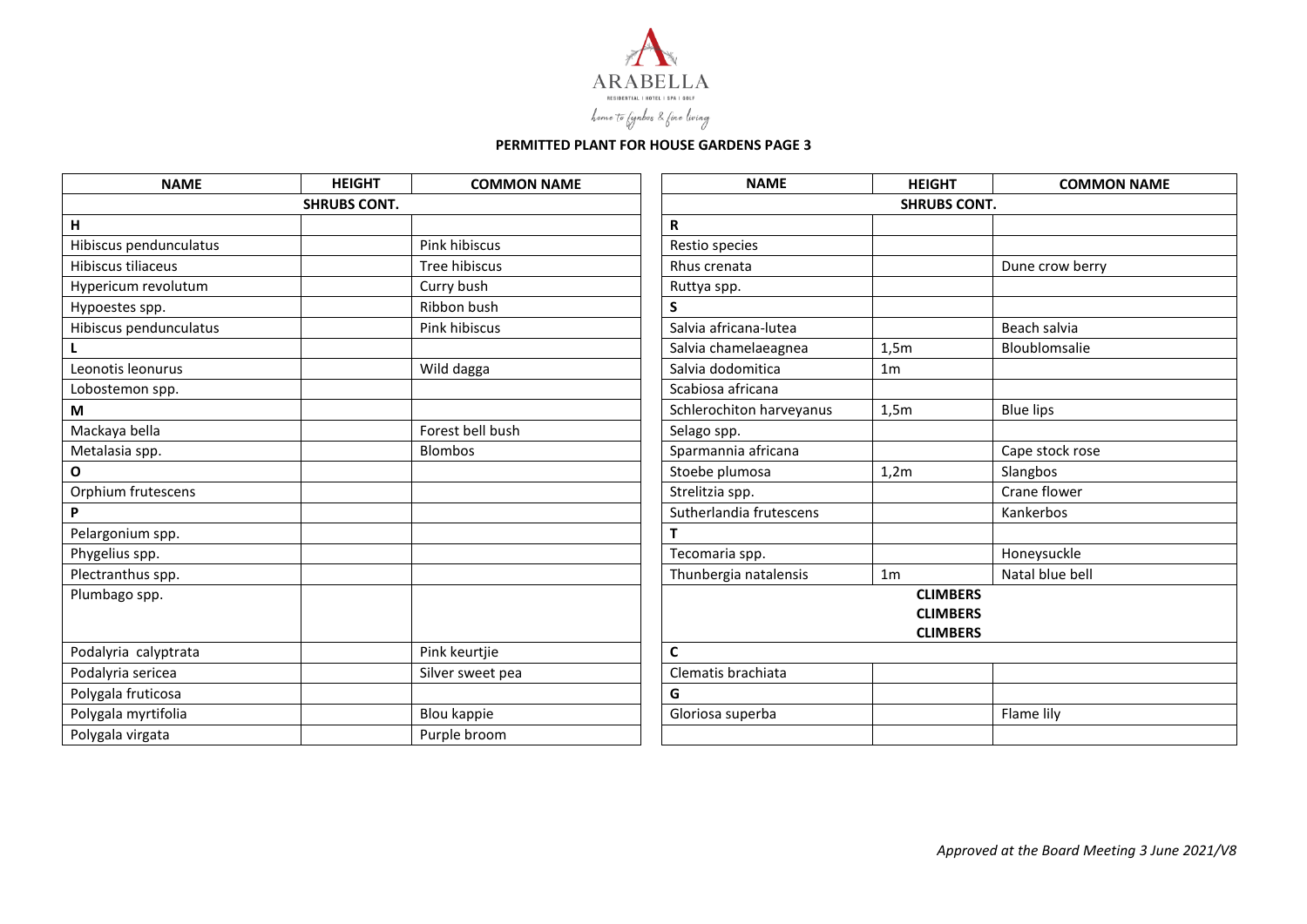

| <b>NAME</b>            | <b>HEIGHT</b> | <b>COMMON NAME</b> | <b>NAME</b>              | <b>HEIGHT</b>                      | <b>COMMON NAME</b> |  |
|------------------------|---------------|--------------------|--------------------------|------------------------------------|--------------------|--|
| <b>SHRUBS CONT.</b>    |               |                    | <b>SHRUBS CONT.</b>      |                                    |                    |  |
| н                      |               |                    | $\mathsf{R}$             |                                    |                    |  |
| Hibiscus pendunculatus |               | Pink hibiscus      | Restio species           |                                    |                    |  |
| Hibiscus tiliaceus     |               | Tree hibiscus      | Rhus crenata             |                                    | Dune crow berry    |  |
| Hypericum revolutum    |               | Curry bush         | Ruttya spp.              |                                    |                    |  |
| Hypoestes spp.         |               | Ribbon bush        | S.                       |                                    |                    |  |
| Hibiscus pendunculatus |               | Pink hibiscus      | Salvia africana-lutea    |                                    | Beach salvia       |  |
|                        |               |                    | Salvia chamelaeagnea     | 1,5m                               | Bloublomsalie      |  |
| Leonotis leonurus      |               | Wild dagga         | Salvia dodomitica        | 1 <sub>m</sub>                     |                    |  |
| Lobostemon spp.        |               |                    | Scabiosa africana        |                                    |                    |  |
| M                      |               |                    | Schlerochiton harveyanus | 1,5m                               | <b>Blue lips</b>   |  |
| Mackaya bella          |               | Forest bell bush   | Selago spp.              |                                    |                    |  |
| Metalasia spp.         |               | <b>Blombos</b>     | Sparmannia africana      |                                    | Cape stock rose    |  |
| $\mathbf O$            |               |                    | Stoebe plumosa           | 1,2m                               | Slangbos           |  |
| Orphium frutescens     |               |                    | Strelitzia spp.          |                                    | Crane flower       |  |
| P                      |               |                    | Sutherlandia frutescens  |                                    | Kankerbos          |  |
| Pelargonium spp.       |               |                    | T.                       |                                    |                    |  |
| Phygelius spp.         |               |                    | Tecomaria spp.           |                                    | Honeysuckle        |  |
| Plectranthus spp.      |               |                    | Thunbergia natalensis    | 1 <sub>m</sub>                     | Natal blue bell    |  |
| Plumbago spp.          |               |                    |                          | <b>CLIMBERS</b><br><b>CLIMBERS</b> |                    |  |
|                        |               |                    |                          | <b>CLIMBERS</b>                    |                    |  |
| Podalyria calyptrata   |               | Pink keurtjie      | $\mathbf c$              |                                    |                    |  |
| Podalyria sericea      |               | Silver sweet pea   | Clematis brachiata       |                                    |                    |  |
| Polygala fruticosa     |               |                    | G                        |                                    |                    |  |
| Polygala myrtifolia    |               | Blou kappie        | Gloriosa superba         |                                    | Flame lily         |  |
| Polygala virgata       |               | Purple broom       |                          |                                    |                    |  |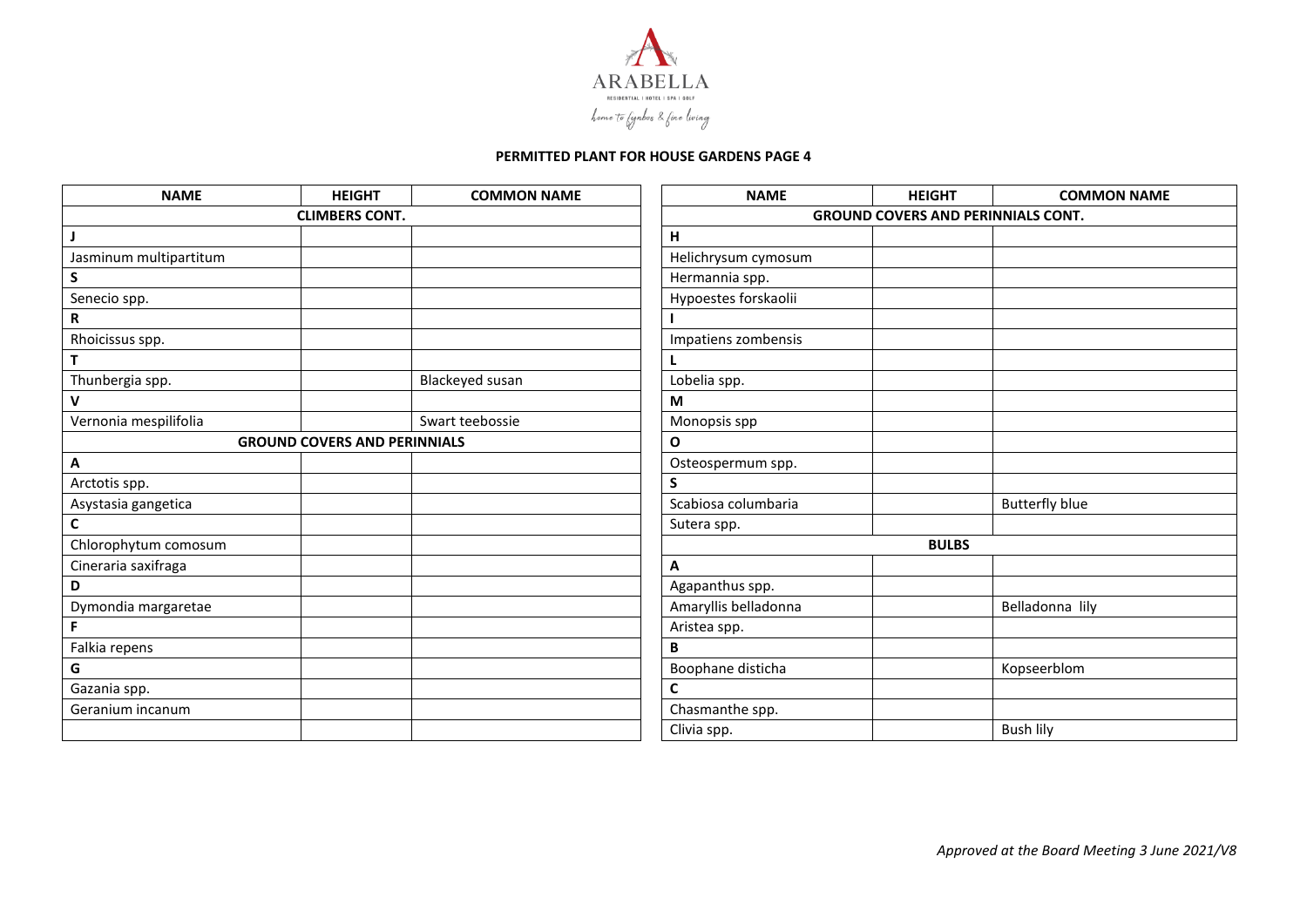

| <b>NAME</b>            | <b>HEIGHT</b>                       | <b>COMMON NAME</b> | <b>NAME</b>                               | <b>HEIGHT</b> | <b>COMMON NAME</b>    |
|------------------------|-------------------------------------|--------------------|-------------------------------------------|---------------|-----------------------|
| <b>CLIMBERS CONT.</b>  |                                     |                    | <b>GROUND COVERS AND PERINNIALS CONT.</b> |               |                       |
| J                      |                                     |                    | H                                         |               |                       |
| Jasminum multipartitum |                                     |                    | Helichrysum cymosum                       |               |                       |
| ${\sf S}$              |                                     |                    | Hermannia spp.                            |               |                       |
| Senecio spp.           |                                     |                    | Hypoestes forskaolii                      |               |                       |
| $\mathsf R$            |                                     |                    |                                           |               |                       |
| Rhoicissus spp.        |                                     |                    | Impatiens zombensis                       |               |                       |
| T                      |                                     |                    |                                           |               |                       |
| Thunbergia spp.        |                                     | Blackeyed susan    | Lobelia spp.                              |               |                       |
| V                      |                                     |                    | M                                         |               |                       |
| Vernonia mespilifolia  |                                     | Swart teebossie    | Monopsis spp                              |               |                       |
|                        | <b>GROUND COVERS AND PERINNIALS</b> |                    | $\mathbf{o}$                              |               |                       |
| Α                      |                                     |                    | Osteospermum spp.                         |               |                       |
| Arctotis spp.          |                                     |                    | S                                         |               |                       |
| Asystasia gangetica    |                                     |                    | Scabiosa columbaria                       |               | <b>Butterfly blue</b> |
| $\mathsf{C}$           |                                     |                    | Sutera spp.                               |               |                       |
| Chlorophytum comosum   |                                     |                    |                                           | <b>BULBS</b>  |                       |
| Cineraria saxifraga    |                                     |                    | A                                         |               |                       |
| D                      |                                     |                    | Agapanthus spp.                           |               |                       |
| Dymondia margaretae    |                                     |                    | Amaryllis belladonna                      |               | Belladonna lily       |
| F                      |                                     |                    | Aristea spp.                              |               |                       |
| Falkia repens          |                                     |                    | В                                         |               |                       |
| G                      |                                     |                    | Boophane disticha                         |               | Kopseerblom           |
| Gazania spp.           |                                     |                    | C                                         |               |                       |
| Geranium incanum       |                                     |                    | Chasmanthe spp.                           |               |                       |
|                        |                                     |                    | Clivia spp.                               |               | <b>Bush lily</b>      |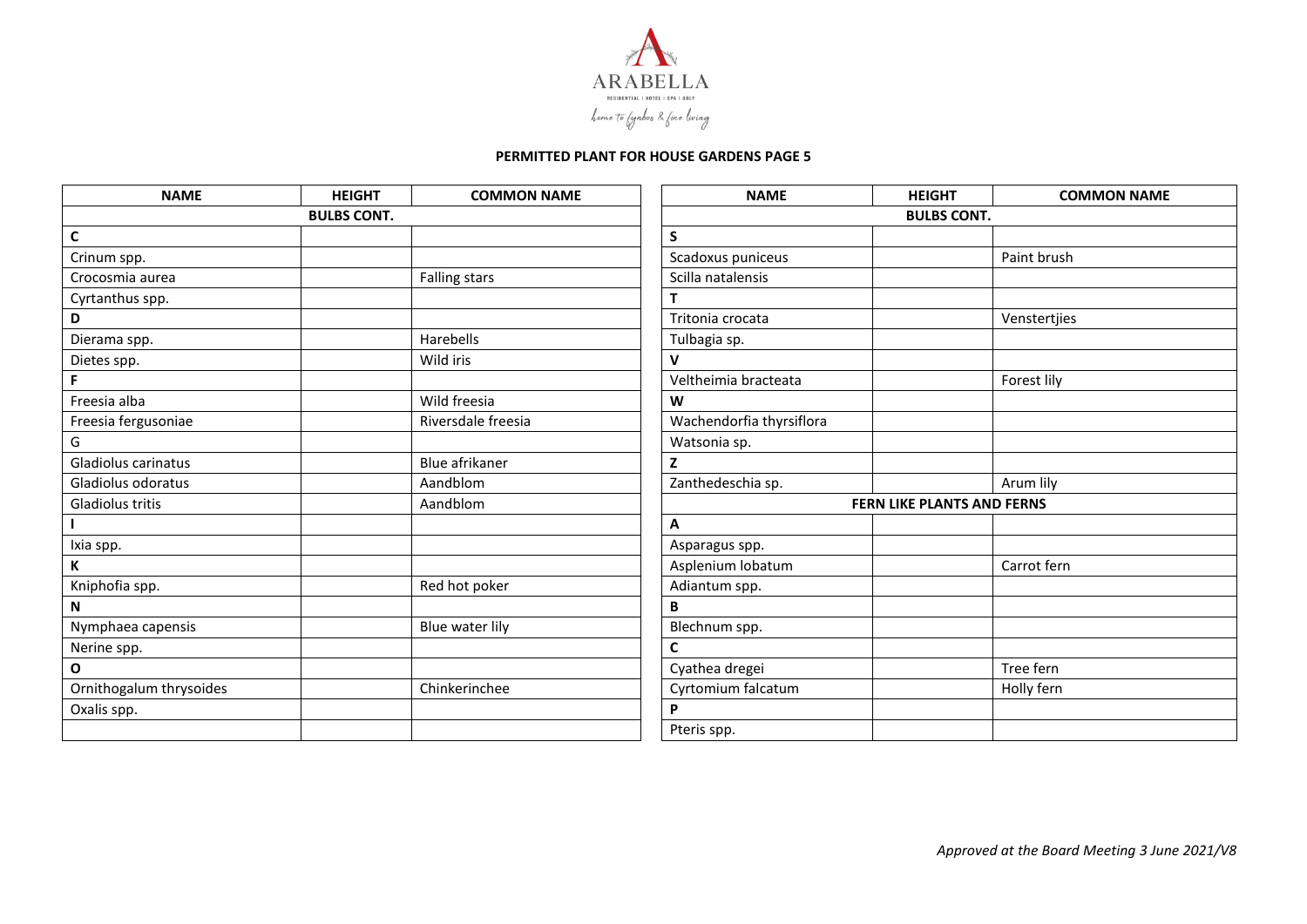

| <b>NAME</b>             | <b>HEIGHT</b> | <b>COMMON NAME</b>   | <b>NAME</b>              | <b>HEIGHT</b>                     | <b>COMMON NAME</b> |
|-------------------------|---------------|----------------------|--------------------------|-----------------------------------|--------------------|
| <b>BULBS CONT.</b>      |               | <b>BULBS CONT.</b>   |                          |                                   |                    |
| $\mathsf{C}$            |               |                      | S                        |                                   |                    |
| Crinum spp.             |               |                      | Scadoxus puniceus        |                                   | Paint brush        |
| Crocosmia aurea         |               | <b>Falling stars</b> | Scilla natalensis        |                                   |                    |
| Cyrtanthus spp.         |               |                      |                          |                                   |                    |
| D                       |               |                      | Tritonia crocata         |                                   | Venstertjies       |
| Dierama spp.            |               | Harebells            | Tulbagia sp.             |                                   |                    |
| Dietes spp.             |               | Wild iris            | v                        |                                   |                    |
| F.                      |               |                      | Veltheimia bracteata     |                                   | Forest lily        |
| Freesia alba            |               | Wild freesia         | W                        |                                   |                    |
| Freesia fergusoniae     |               | Riversdale freesia   | Wachendorfia thyrsiflora |                                   |                    |
| G                       |               |                      | Watsonia sp.             |                                   |                    |
| Gladiolus carinatus     |               | Blue afrikaner       | z                        |                                   |                    |
| Gladiolus odoratus      |               | Aandblom             | Zanthedeschia sp.        |                                   | Arum lily          |
| Gladiolus tritis        |               | Aandblom             |                          | <b>FERN LIKE PLANTS AND FERNS</b> |                    |
|                         |               |                      | А                        |                                   |                    |
| Ixia spp.               |               |                      | Asparagus spp.           |                                   |                    |
| К                       |               |                      | Asplenium lobatum        |                                   | Carrot fern        |
| Kniphofia spp.          |               | Red hot poker        | Adiantum spp.            |                                   |                    |
| N                       |               |                      | B                        |                                   |                    |
| Nymphaea capensis       |               | Blue water lily      | Blechnum spp.            |                                   |                    |
| Nerine spp.             |               |                      | $\mathsf{C}$             |                                   |                    |
| $\mathbf O$             |               |                      | Cyathea dregei           |                                   | Tree fern          |
| Ornithogalum thrysoides |               | Chinkerinchee        | Cyrtomium falcatum       |                                   | Holly fern         |
| Oxalis spp.             |               |                      | P                        |                                   |                    |
|                         |               |                      | Pteris spp.              |                                   |                    |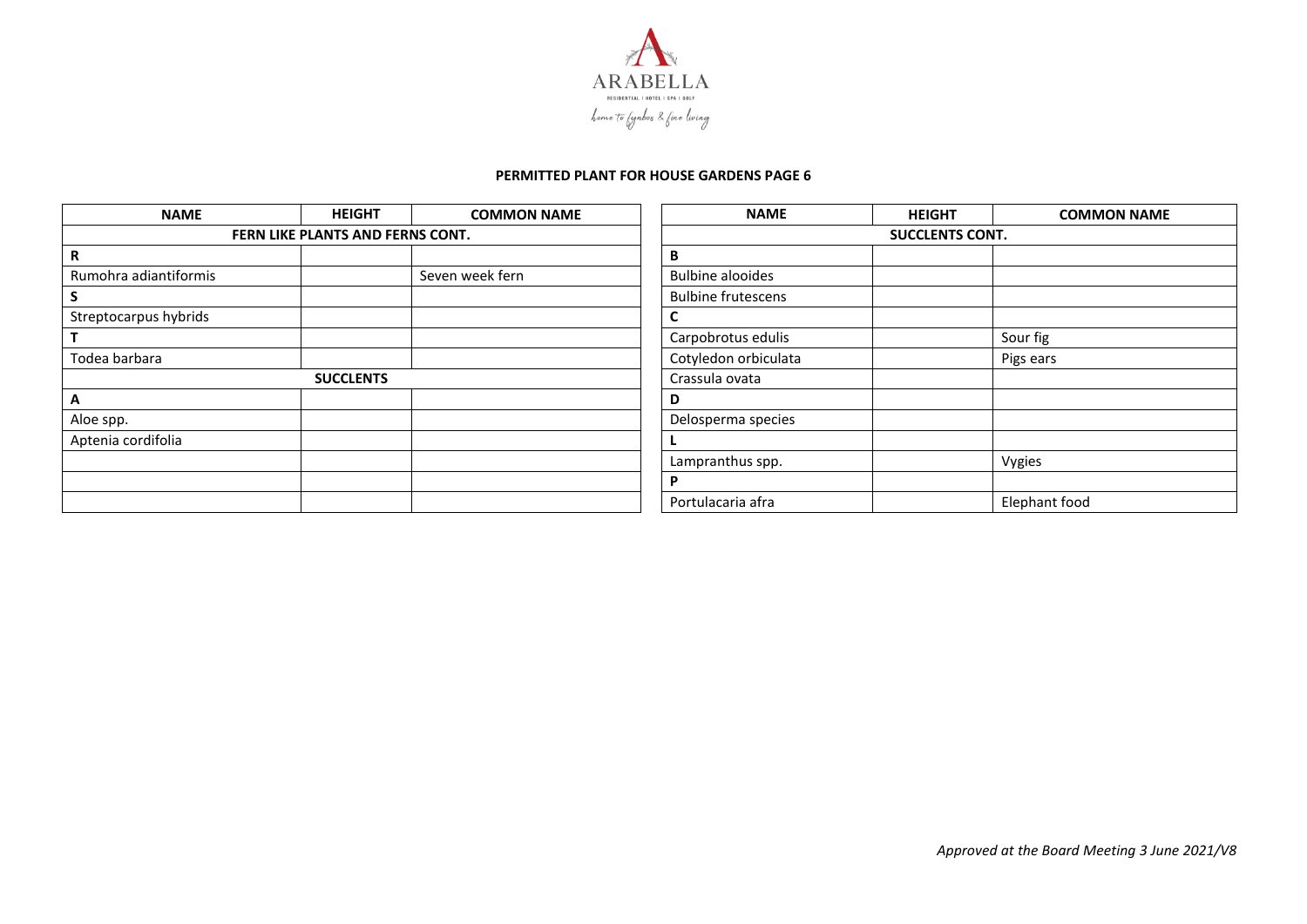

| <b>NAME</b>           | <b>HEIGHT</b>                    | <b>COMMON NAME</b> | <b>NAME</b>               | <b>HEIGHT</b>          | <b>COMMON NAME</b> |  |
|-----------------------|----------------------------------|--------------------|---------------------------|------------------------|--------------------|--|
|                       | FERN LIKE PLANTS AND FERNS CONT. |                    |                           | <b>SUCCLENTS CONT.</b> |                    |  |
| R                     |                                  |                    | B                         |                        |                    |  |
| Rumohra adiantiformis |                                  | Seven week fern    | <b>Bulbine alooides</b>   |                        |                    |  |
|                       |                                  |                    | <b>Bulbine frutescens</b> |                        |                    |  |
| Streptocarpus hybrids |                                  |                    |                           |                        |                    |  |
|                       |                                  |                    | Carpobrotus edulis        |                        | Sour fig           |  |
| Todea barbara         |                                  |                    | Cotyledon orbiculata      |                        | Pigs ears          |  |
|                       | <b>SUCCLENTS</b>                 |                    | Crassula ovata            |                        |                    |  |
| A                     |                                  |                    | D                         |                        |                    |  |
| Aloe spp.             |                                  |                    | Delosperma species        |                        |                    |  |
| Aptenia cordifolia    |                                  |                    |                           |                        |                    |  |
|                       |                                  |                    | Lampranthus spp.          |                        | Vygies             |  |
|                       |                                  |                    | D                         |                        |                    |  |
|                       |                                  |                    | Portulacaria afra         |                        | Elephant food      |  |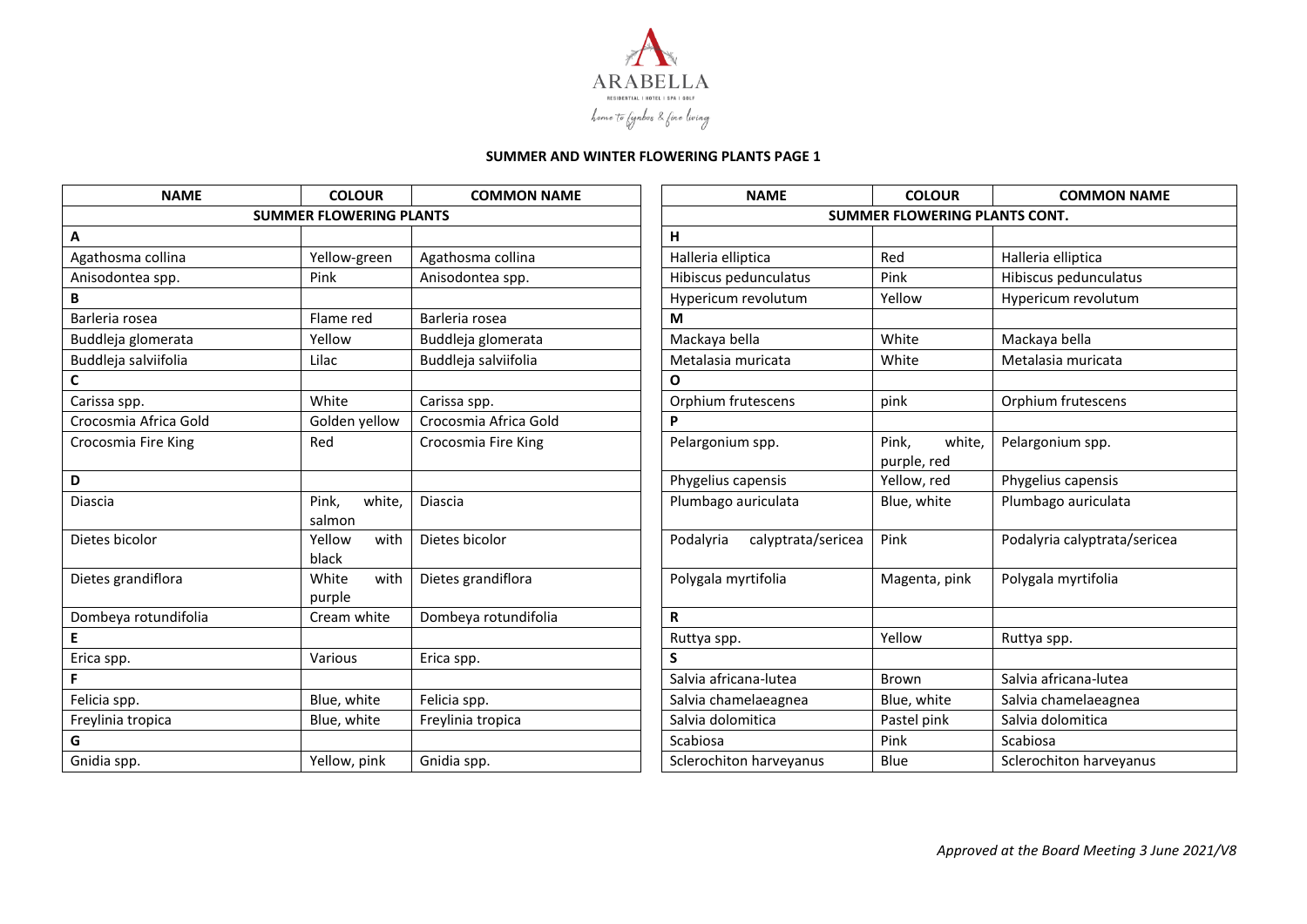

| <b>NAME</b>           | <b>COLOUR</b>                  | <b>COMMON NAME</b>    | <b>NAME</b>                     | <b>COLOUR</b>                  | <b>COMMON NAME</b>           |
|-----------------------|--------------------------------|-----------------------|---------------------------------|--------------------------------|------------------------------|
|                       | <b>SUMMER FLOWERING PLANTS</b> |                       |                                 | SUMMER FLOWERING PLANTS CONT.  |                              |
| Α                     |                                |                       | н                               |                                |                              |
| Agathosma collina     | Yellow-green                   | Agathosma collina     | Halleria elliptica              | Red                            | Halleria elliptica           |
| Anisodontea spp.      | Pink                           | Anisodontea spp.      | Hibiscus pedunculatus           | Pink                           | Hibiscus pedunculatus        |
| B                     |                                |                       | Hypericum revolutum             | Yellow                         | Hypericum revolutum          |
| Barleria rosea        | Flame red                      | Barleria rosea        | M                               |                                |                              |
| Buddleja glomerata    | Yellow                         | Buddleja glomerata    | Mackaya bella                   | White                          | Mackaya bella                |
| Buddleja salviifolia  | Lilac                          | Buddleja salviifolia  | Metalasia muricata              | White                          | Metalasia muricata           |
| C                     |                                |                       | O                               |                                |                              |
| Carissa spp.          | White                          | Carissa spp.          | Orphium frutescens              | pink                           | Orphium frutescens           |
| Crocosmia Africa Gold | Golden yellow                  | Crocosmia Africa Gold | P                               |                                |                              |
| Crocosmia Fire King   | Red                            | Crocosmia Fire King   | Pelargonium spp.                | Pink,<br>white,<br>purple, red | Pelargonium spp.             |
| D                     |                                |                       | Phygelius capensis              | Yellow, red                    | Phygelius capensis           |
| Diascia               | Pink,<br>white,<br>salmon      | Diascia               | Plumbago auriculata             | Blue, white                    | Plumbago auriculata          |
| Dietes bicolor        | Yellow<br>with<br>black        | Dietes bicolor        | Podalyria<br>calyptrata/sericea | Pink                           | Podalyria calyptrata/sericea |
| Dietes grandiflora    | White<br>with<br>purple        | Dietes grandiflora    | Polygala myrtifolia             | Magenta, pink                  | Polygala myrtifolia          |
| Dombeya rotundifolia  | Cream white                    | Dombeya rotundifolia  | $\mathsf{R}$                    |                                |                              |
| E                     |                                |                       | Ruttya spp.                     | Yellow                         | Ruttya spp.                  |
| Erica spp.            | Various                        | Erica spp.            | S                               |                                |                              |
| F.                    |                                |                       | Salvia africana-lutea           | Brown                          | Salvia africana-lutea        |
| Felicia spp.          | Blue, white                    | Felicia spp.          | Salvia chamelaeagnea            | Blue, white                    | Salvia chamelaeagnea         |
| Freylinia tropica     | Blue, white                    | Freylinia tropica     | Salvia dolomitica               | Pastel pink                    | Salvia dolomitica            |
| G                     |                                |                       | Scabiosa                        | Pink                           | Scabiosa                     |
| Gnidia spp.           | Yellow, pink                   | Gnidia spp.           | Sclerochiton harveyanus         | Blue                           | Sclerochiton harveyanus      |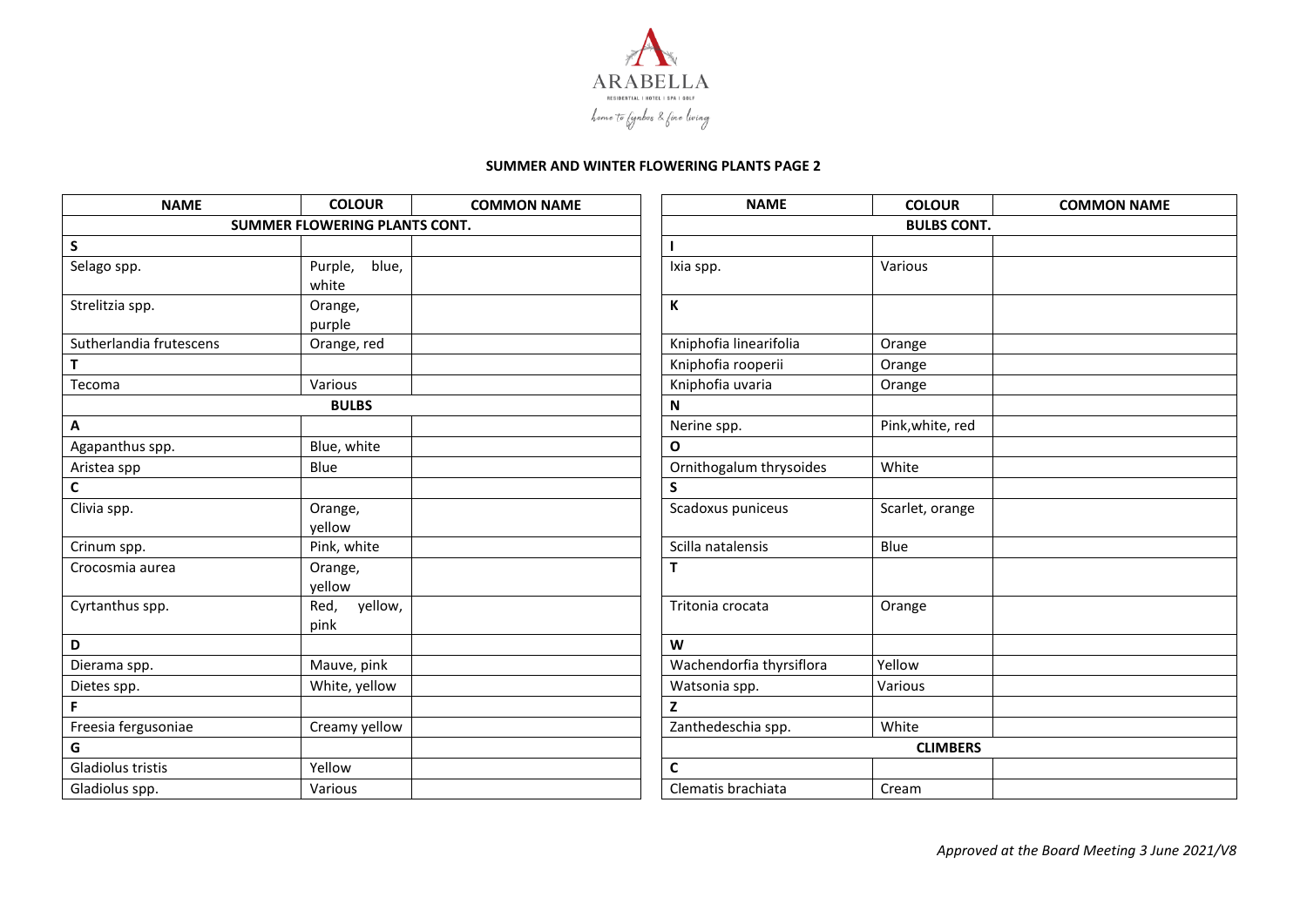

| <b>NAME</b>                   | <b>COLOUR</b>             | <b>COMMON NAME</b> | <b>NAME</b>              | <b>COLOUR</b>    | <b>COMMON NAME</b> |
|-------------------------------|---------------------------|--------------------|--------------------------|------------------|--------------------|
| SUMMER FLOWERING PLANTS CONT. |                           |                    | <b>BULBS CONT.</b>       |                  |                    |
| $\mathsf{s}$                  |                           |                    |                          |                  |                    |
| Selago spp.                   | blue,<br>Purple,<br>white |                    | Ixia spp.                | Various          |                    |
| Strelitzia spp.               | Orange,<br>purple         |                    | К                        |                  |                    |
| Sutherlandia frutescens       | Orange, red               |                    | Kniphofia linearifolia   | Orange           |                    |
| $\mathsf T$                   |                           |                    | Kniphofia rooperii       | Orange           |                    |
| Tecoma                        | Various                   |                    | Kniphofia uvaria         | Orange           |                    |
|                               | <b>BULBS</b>              |                    | N                        |                  |                    |
| Α                             |                           |                    | Nerine spp.              | Pink, white, red |                    |
| Agapanthus spp.               | Blue, white               |                    | $\mathbf{o}$             |                  |                    |
| Aristea spp                   | Blue                      |                    | Ornithogalum thrysoides  | White            |                    |
| $\mathsf{C}$                  |                           |                    | S                        |                  |                    |
| Clivia spp.                   | Orange,<br>yellow         |                    | Scadoxus puniceus        | Scarlet, orange  |                    |
| Crinum spp.                   | Pink, white               |                    | Scilla natalensis        | Blue             |                    |
| Crocosmia aurea               | Orange,<br>yellow         |                    | T                        |                  |                    |
| Cyrtanthus spp.               | yellow,<br>Red,<br>pink   |                    | Tritonia crocata         | Orange           |                    |
| D                             |                           |                    | W                        |                  |                    |
| Dierama spp.                  | Mauve, pink               |                    | Wachendorfia thyrsiflora | Yellow           |                    |
| Dietes spp.                   | White, yellow             |                    | Watsonia spp.            | Various          |                    |
|                               |                           |                    | $\overline{z}$           |                  |                    |
| Freesia fergusoniae           | Creamy yellow             |                    | Zanthedeschia spp.       | White            |                    |
| G                             |                           |                    | <b>CLIMBERS</b>          |                  |                    |
| Gladiolus tristis             | Yellow                    |                    | $\mathsf{C}$             |                  |                    |
| Gladiolus spp.                | Various                   |                    | Clematis brachiata       | Cream            |                    |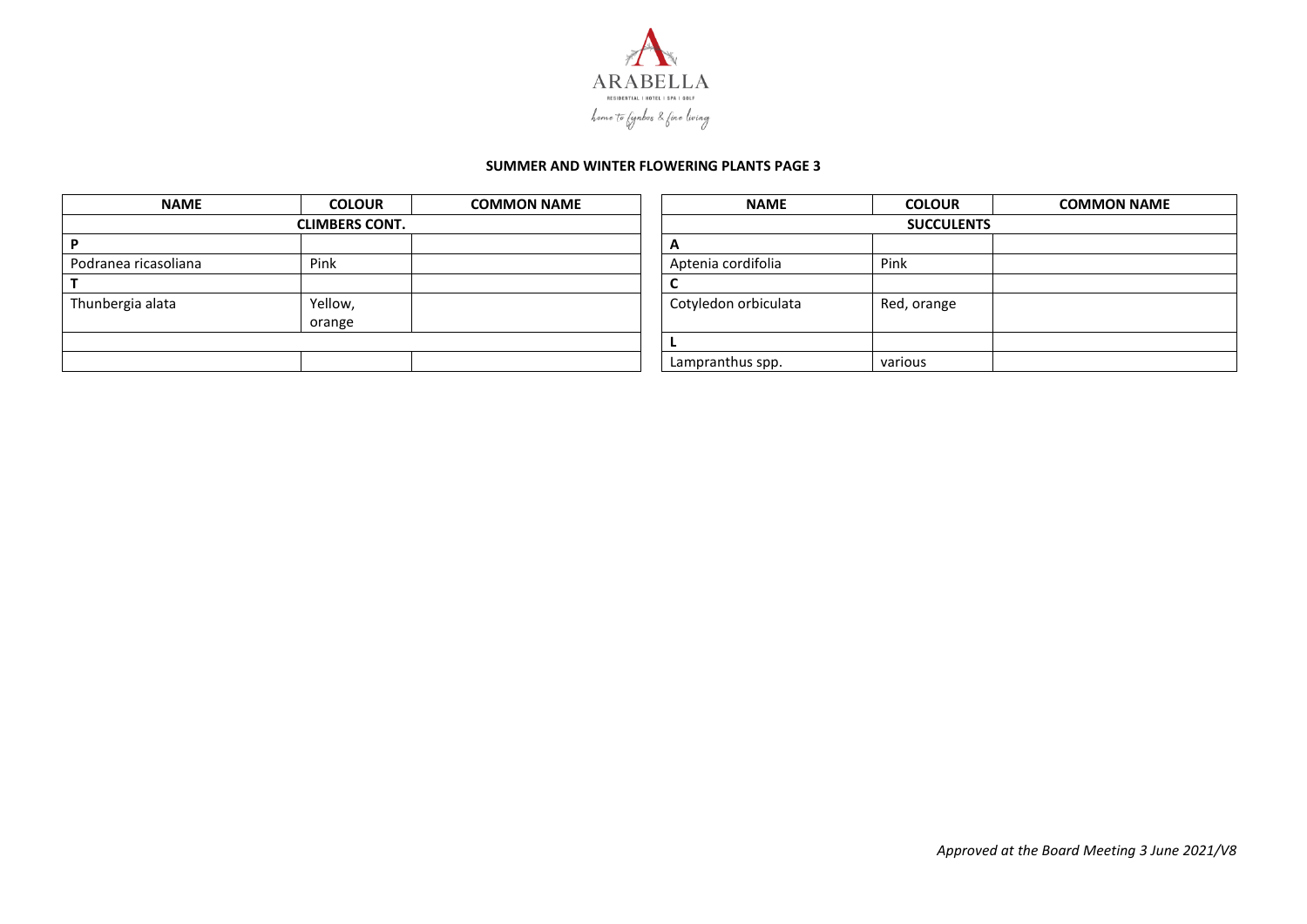

| <b>NAME</b>          | <b>COLOUR</b>         | <b>COMMON NAME</b> | <b>NAME</b>          | <b>COLOUR</b>     | <b>COMMON NAME</b> |
|----------------------|-----------------------|--------------------|----------------------|-------------------|--------------------|
|                      | <b>CLIMBERS CONT.</b> |                    |                      | <b>SUCCULENTS</b> |                    |
|                      |                       |                    |                      |                   |                    |
| Podranea ricasoliana | Pink                  |                    | Aptenia cordifolia   | Pink              |                    |
|                      |                       |                    |                      |                   |                    |
| Thunbergia alata     | Yellow,               |                    | Cotyledon orbiculata | Red, orange       |                    |
|                      | orange                |                    |                      |                   |                    |
|                      |                       |                    |                      |                   |                    |
|                      |                       |                    | Lampranthus spp.     | various           |                    |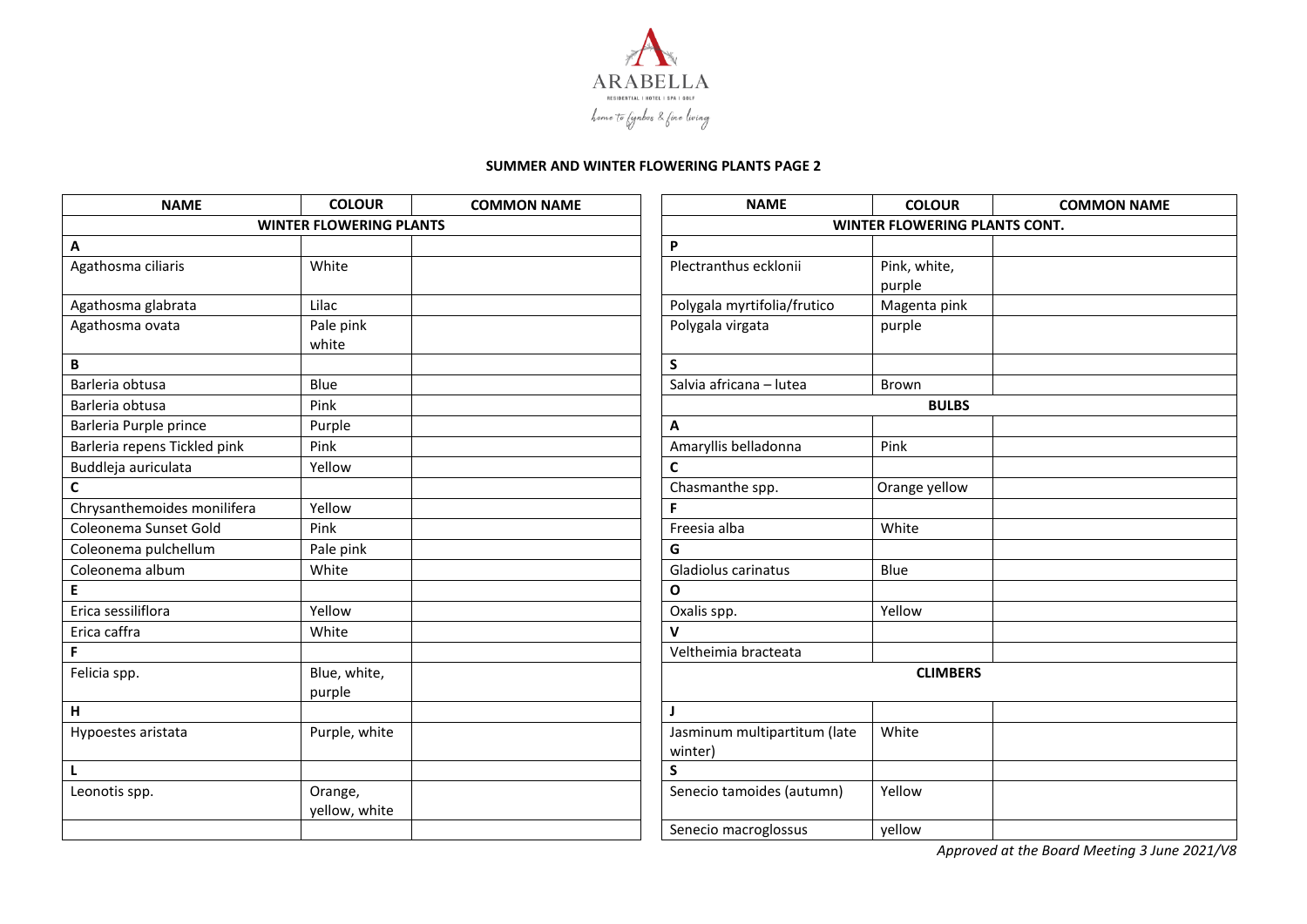

| <b>NAME</b>                    | <b>COLOUR</b> | <b>COMMON NAME</b> | <b>NAME</b>                  | <b>COLOUR</b>                        | <b>COMMON NAME</b> |  |  |
|--------------------------------|---------------|--------------------|------------------------------|--------------------------------------|--------------------|--|--|
| <b>WINTER FLOWERING PLANTS</b> |               |                    |                              | <b>WINTER FLOWERING PLANTS CONT.</b> |                    |  |  |
| A                              |               |                    | P                            |                                      |                    |  |  |
| Agathosma ciliaris             | White         |                    | Plectranthus ecklonii        | Pink, white,                         |                    |  |  |
|                                |               |                    |                              | purple                               |                    |  |  |
| Agathosma glabrata             | Lilac         |                    | Polygala myrtifolia/frutico  | Magenta pink                         |                    |  |  |
| Agathosma ovata                | Pale pink     |                    | Polygala virgata             | purple                               |                    |  |  |
|                                | white         |                    |                              |                                      |                    |  |  |
| В                              |               |                    | S                            |                                      |                    |  |  |
| Barleria obtusa                | Blue          |                    | Salvia africana - lutea      | <b>Brown</b>                         |                    |  |  |
| Barleria obtusa                | Pink          |                    |                              | <b>BULBS</b>                         |                    |  |  |
| Barleria Purple prince         | Purple        |                    | A                            |                                      |                    |  |  |
| Barleria repens Tickled pink   | Pink          |                    | Amaryllis belladonna         | Pink                                 |                    |  |  |
| Buddleja auriculata            | Yellow        |                    | C                            |                                      |                    |  |  |
| $\mathsf{C}$                   |               |                    | Chasmanthe spp.              | Orange yellow                        |                    |  |  |
| Chrysanthemoides monilifera    | Yellow        |                    | F                            |                                      |                    |  |  |
| Coleonema Sunset Gold          | Pink          |                    | Freesia alba                 | White                                |                    |  |  |
| Coleonema pulchellum           | Pale pink     |                    | G                            |                                      |                    |  |  |
| Coleonema album                | White         |                    | Gladiolus carinatus          | Blue                                 |                    |  |  |
| E                              |               |                    | $\mathbf{o}$                 |                                      |                    |  |  |
| Erica sessiliflora             | Yellow        |                    | Oxalis spp.                  | Yellow                               |                    |  |  |
| Erica caffra                   | White         |                    | V                            |                                      |                    |  |  |
| F                              |               |                    | Veltheimia bracteata         |                                      |                    |  |  |
| Felicia spp.                   | Blue, white,  |                    |                              | <b>CLIMBERS</b>                      |                    |  |  |
|                                | purple        |                    |                              |                                      |                    |  |  |
| н                              |               |                    |                              |                                      |                    |  |  |
| Hypoestes aristata             | Purple, white |                    | Jasminum multipartitum (late | White                                |                    |  |  |
|                                |               |                    | winter)                      |                                      |                    |  |  |
| L                              |               |                    | S                            |                                      |                    |  |  |
| Leonotis spp.                  | Orange,       |                    | Senecio tamoides (autumn)    | Yellow                               |                    |  |  |
|                                | yellow, white |                    |                              |                                      |                    |  |  |
|                                |               |                    | Senecio macroglossus         | yellow                               |                    |  |  |

*Approved at the Board Meeting 3 June 2021/V8*